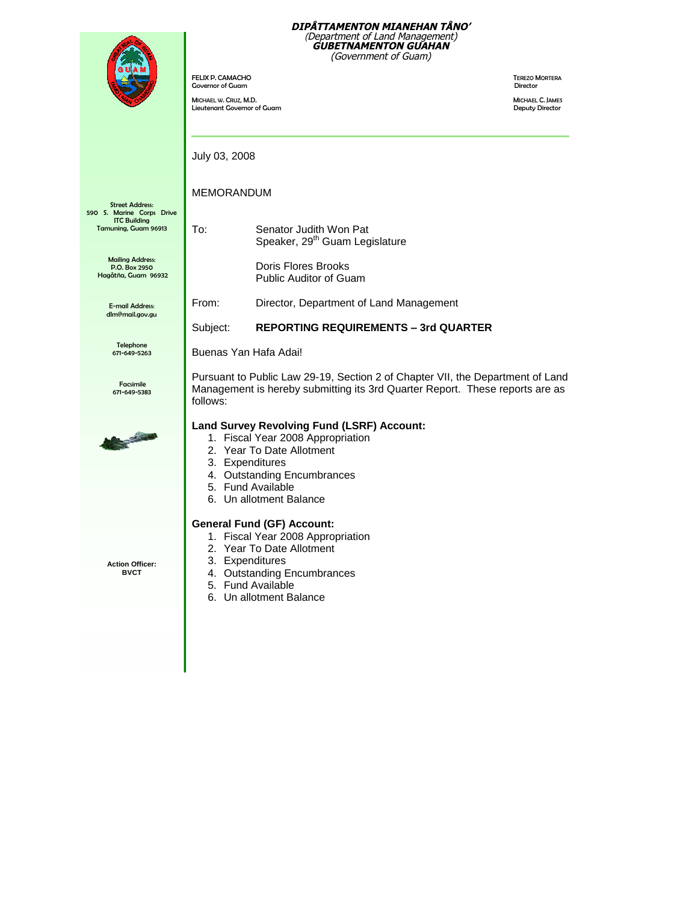

FELIX P. CAMACHO TEREZO MORTERA Governor of Guam

MICHAEL W. CRUZ, M.D.<br>
Lieutenant Governor of Guam and the state of the state of the state of the state of the state of the state of<br>
Deputy Director Lieutenant Governor of Guam

July 03, 2008

MEMORANDUM

Street Address: 590 S. Marine Corps Drive ITC Building Tamuning, Guam 96913

Mailing Address: P.O. Box 2950 Hagåtña, Guam 96932

> E-mail Address: dlm@mail.gov.gu

> > Telephone 671-649-5263

Facsimile 671-649-5383



Pursuant to Public Law 29-19, Section 2 of Chapter VII, the Department of Land Management is hereby submitting its 3rd Quarter Report. These reports are as follows:

#### **Land Survey Revolving Fund (LSRF) Account:**

1. Fiscal Year 2008 Appropriation

To: Senator Judith Won Pat

Doris Flores Brooks Public Auditor of Guam

Speaker, 29<sup>th</sup> Guam Legislature

From: Director, Department of Land Management

Subject: **REPORTING REQUIREMENTS –3rd QUARTER**

- 2. Year To Date Allotment
- 3. Expenditures

Buenas Yan Hafa Adai!

- 4. Outstanding Encumbrances
- 5. Fund Available
- 6. Un allotment Balance

### **General Fund (GF) Account:**

- 1. Fiscal Year 2008 Appropriation
- 2. Year To Date Allotment
- 3. Expenditures
- 4. Outstanding Encumbrances
- 5. Fund Available
- 6. Un allotment Balance

**Action Officer: BVCT**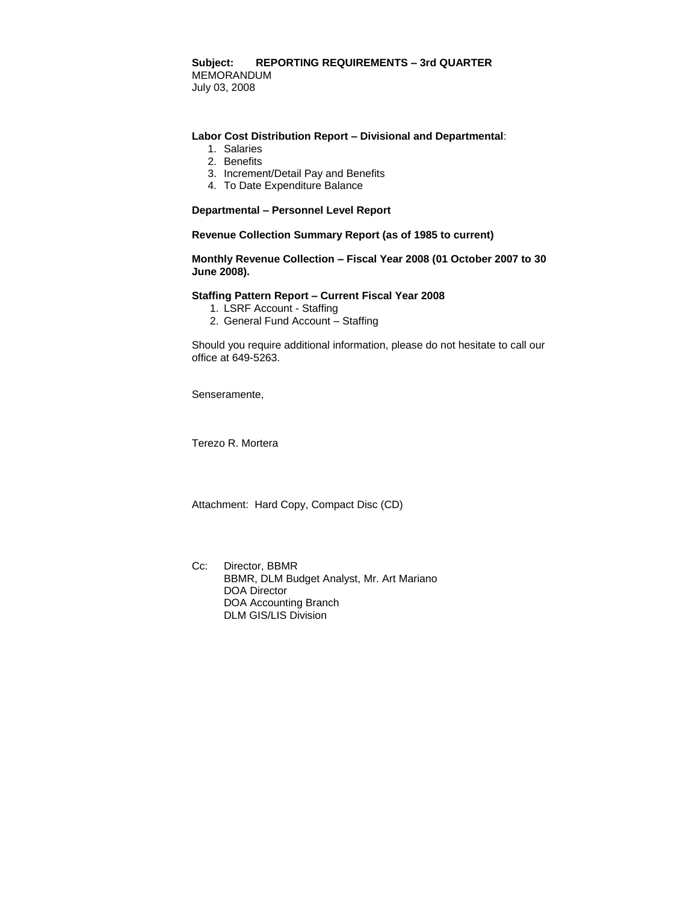#### **Subject: REPORTING REQUIREMENTS –3rd QUARTER** MEMORANDUM July 03, 2008

#### **Labor Cost Distribution Report –Divisional and Departmental**:

- 1. Salaries
- 2. Benefits
- 3. Increment/Detail Pay and Benefits
- 4. To Date Expenditure Balance

#### **Departmental –Personnel Level Report**

**Revenue Collection Summary Report (as of 1985 to current)**

**Monthly Revenue Collection –Fiscal Year 2008 (01 October 2007 to 30 June 2008).**

#### **Staffing Pattern Report –Current Fiscal Year 2008**

- 1. LSRF Account Staffing
- 2. General Fund Account Staffing

Should you require additional information, please do not hesitate to call our office at 649-5263.

Senseramente,

Terezo R. Mortera

Attachment: Hard Copy, Compact Disc (CD)

Cc: Director, BBMR BBMR, DLM Budget Analyst, Mr. Art Mariano DOA Director DOA Accounting Branch DLM GIS/LIS Division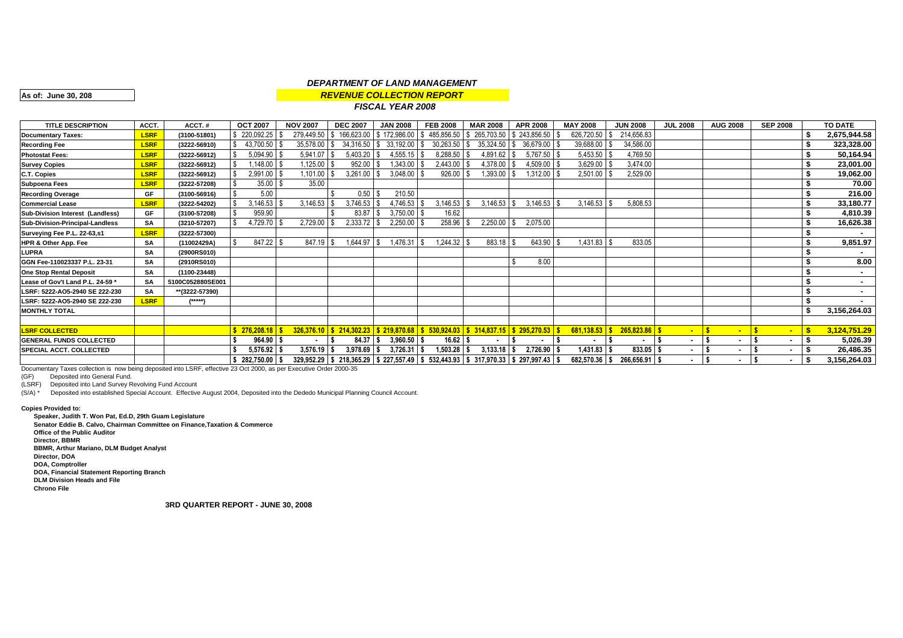#### *REVENUE COLLECTION REPORT DEPARTMENT OF LAND MANAGEMENT*

**As of: June 30, 208**

#### *FISCAL YEAR 2008*

| <b>TITLE DESCRIPTION</b>         | ACCT.       | ACCT.#           | <b>OCT 2007</b> | <b>NOV 2007</b> | <b>DEC 2007</b>            | <b>JAN 2008</b>                | <b>FEB 2008</b> | <b>MAR 2008</b>                                                             | <b>APR 2008</b>             | <b>MAY 2008</b> | <b>JUN 2008</b>   | <b>JUL 2008</b> | <b>AUG 2008</b> | <b>SEP 2008</b> | TO DATE      |
|----------------------------------|-------------|------------------|-----------------|-----------------|----------------------------|--------------------------------|-----------------|-----------------------------------------------------------------------------|-----------------------------|-----------------|-------------------|-----------------|-----------------|-----------------|--------------|
| <b>Documentary Taxes:</b>        | <b>LSRF</b> | (3100-51801)     | \$220,092.25    | 279,449.50      |                            | 166,623.00   \$172,986.00   \$ | 485,856.50      | l \$                                                                        | 265,703.50 \$243,856.50     | 626,720.50      | 214,656.83<br>l S |                 |                 |                 | 2,675,944.58 |
| <b>Recording Fee</b>             | <b>LSRF</b> | (3222-56910)     | 43,700.50       | 35,578.00 \$    | $34,316.50$ \\$            | 33,192.00 \$                   | 30,263.50       | 35,324.50 \$<br>l \$                                                        | 36,679.00                   | 39,688.00       | 34,586.00         |                 |                 |                 | 323,328.00   |
| <b>Photostat Fees:</b>           | <b>LSRF</b> | (3222-56912)     | 5,094.90        | 5,941.07        | 5,403.20                   | $4,555.15$ \$                  | 8,288.50        | 4,891.62                                                                    | 5,767.50                    | 5,453.50 \$     | 4,769.50          |                 |                 |                 | 50,164.94    |
| <b>Survey Copies</b>             | <b>LSRF</b> | (3222-56912)     | 1,148.00        | 1,125.00        | 952.00                     | 1,343.00 \$                    | 2,443.00        | 4,378.00                                                                    | 4,509.00                    | $3,629.00$ \$   | 3,474.00          |                 |                 |                 | 23,001.00    |
| C.T. Copies                      | <b>LSRF</b> | (3222-56912)     | 2,991.00        | 1,101.00        | 3,261.00                   | $3,048.00$ \$                  | 926.00          | ,393.00                                                                     | 1,312.00                    | 2,501.00        | 2,529.00          |                 |                 |                 | 19,062.00    |
| <b>Subpoena Fees</b>             | <b>LSRF</b> | (3222-57208)     | 35.00           | 35.00           |                            |                                |                 |                                                                             |                             |                 |                   |                 |                 |                 | 70.00        |
| <b>Recording Overage</b>         | <b>GF</b>   | (3100-56916)     | 5.00            |                 | 0.50                       | 210.50                         |                 |                                                                             |                             |                 |                   |                 |                 |                 | 216.00       |
| <b>Commercial Lease</b>          | <b>LSRF</b> | (3222-54202)     | 3,146.53        | 3,146.53        | 3,746.53                   | 4,746.53                       | 3,146.53        | 3,146.53                                                                    | $3,146.53$ \$<br>IS         | $3,146.53$ \$   | 5,808.53          |                 |                 |                 | 33,180.77    |
| Sub-Division Interest (Landless) | <b>GF</b>   | (3100-57208)     | 959.90          |                 | 83.87                      | $3,750.00$ \$                  | 16.62           |                                                                             |                             |                 |                   |                 |                 |                 | 4,810.39     |
| Sub-Division-Principal-Landless  | <b>SA</b>   | (3210-57207)     | .729.70         | 2,729.00        | 2,333.72                   | $2,250.00$ \$                  | 258.96 \$       | $2,250.00$ \$                                                               | 2,075.00                    |                 |                   |                 |                 |                 | 16,626.38    |
| Surveying Fee P.L. 22-63,s1      | <b>LSRF</b> | (3222-57300)     |                 |                 |                            |                                |                 |                                                                             |                             |                 |                   |                 |                 |                 |              |
| HPR & Other App. Fee             | <b>SA</b>   | (11002429A)      | 847.22 \$       | 847.19          | 1,644.97                   | 1,476.31                       | 1,244.32 \$     | 883.18 \$                                                                   | 643.90                      | $1,431.83$ \$   | 833.05            |                 |                 |                 | 9,851.97     |
| LUPRA                            | <b>SA</b>   | (2900RS010)      |                 |                 |                            |                                |                 |                                                                             |                             |                 |                   |                 |                 |                 |              |
| GGN Fee-110023337 P.L. 23-31     | <b>SA</b>   | (2910RS010)      |                 |                 |                            |                                |                 |                                                                             | 8.00                        |                 |                   |                 |                 |                 | 8.00         |
| <b>One Stop Rental Deposit</b>   | <b>SA</b>   | (1100-23448)     |                 |                 |                            |                                |                 |                                                                             |                             |                 |                   |                 |                 |                 |              |
| Lease of Gov't Land P.L. 24-59 * | SA          | 5100C052880SE001 |                 |                 |                            |                                |                 |                                                                             |                             |                 |                   |                 |                 |                 |              |
| LSRF: 5222-A05-2940 SE 222-230   | <b>SA</b>   | **(3222-57390)   |                 |                 |                            |                                |                 |                                                                             |                             |                 |                   |                 |                 |                 |              |
| LSRF: 5222-A05-2940 SE 222-230   | <b>LSRF</b> | $(****)$         |                 |                 |                            |                                |                 |                                                                             |                             |                 |                   |                 |                 |                 |              |
| <b>MONTHLY TOTAL</b>             |             |                  |                 |                 |                            |                                |                 |                                                                             |                             |                 |                   |                 |                 |                 | 3,156,264.03 |
|                                  |             |                  |                 |                 |                            |                                |                 |                                                                             |                             |                 |                   |                 |                 |                 |              |
| <b>LSRF COLLECTED</b>            |             |                  | \$276,208,18    |                 | $326,376.10$ \$ 214,302.23 |                                |                 | $\frac{1}{2}$ \$ 219,870.68 \ \ \$ 530,924.03 \ \$ 314,837.15               | $\frac{1}{2}$ \$ 295,270.53 | $681,138.53$ \$ | $265,823.86$ \$   |                 | $\blacksquare$  |                 | 3,124,751.29 |
| <b>GENERAL FUNDS COLLECTED</b>   |             |                  | $964.90$ \\$    |                 | $84.37$ $\pm$              | $3,960.50$ \$                  | $16.62$ \ \$    |                                                                             |                             | $\sim$          |                   | $\sim$          |                 | $\blacksquare$  | 5,026.39     |
| <b>SPECIAL ACCT. COLLECTED</b>   |             |                  | $5,576.92$ \$   | $3,576.19$ \$   | 3,978.69                   | $3,726.31$ \$                  | 1,503.28        | 3,133.18                                                                    | 2,726.90<br>l S             | $1,431.83$ \$   | 833.05 \$         |                 |                 |                 | 26,486.35    |
|                                  |             |                  | 282,750.00 \$   |                 |                            |                                |                 | 329,952.29 \$218,365.29 \$227,557.49 \$532,443.93 \$317,970.33 \$297,997.43 |                             | 682,570.36      | 266,656.91 \$     |                 |                 |                 | 3,156,264.03 |

Documentary Taxes collection is now being deposited into LSRF, effective 23 Oct 2000, as per Executive Order 2000-35

(GF) Deposited into General Fund.

(LSRF) Deposited into Land Survey Revolving Fund Account

(S/A) \* Deposited into established Special Account. Effective August 2004, Deposited into the Dededo Municipal Planning Council Account.

**Copies Provided to:**

**Speaker, Judith T. Won Pat, Ed.D, 29th Guam Legislature Senator Eddie B. Calvo, Chairman Committee on Finance,Taxation & Commerce Office of the Public Auditor Director, BBMR BBMR, Arthur Mariano, DLM Budget Analyst Director, DOA DOA, Comptroller DOA, Financial Statement Reporting Branch DLM Division Heads and File Chrono File**

**3RD QUARTER REPORT - JUNE 30, 2008**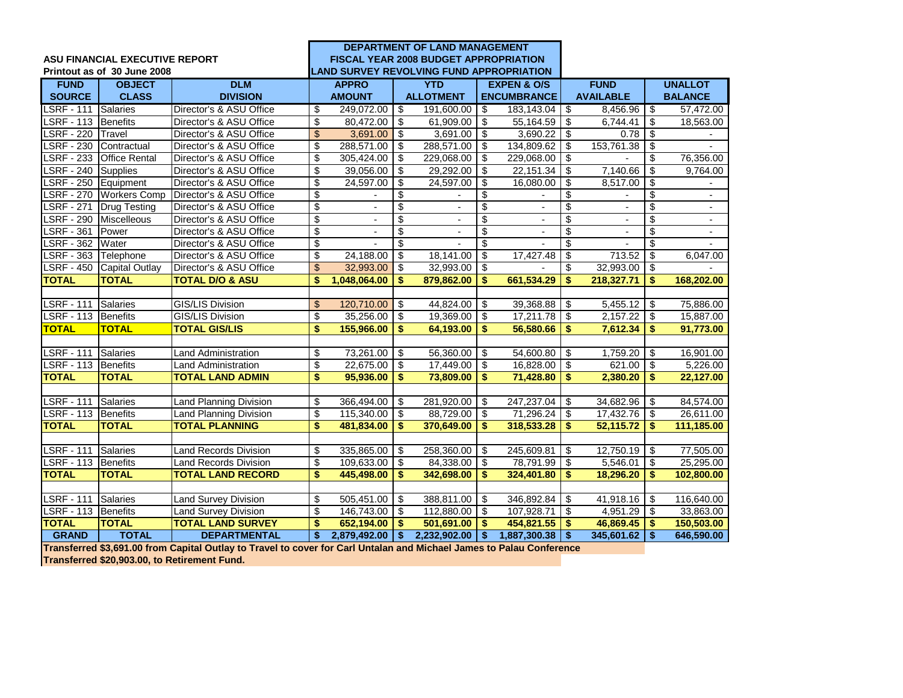|                       |                                       |                               | <b>DEPARTMENT OF LAND MANAGEMENT</b> |                |                         |                                                 |                          |                          |                                  |                          |                                        |                          |
|-----------------------|---------------------------------------|-------------------------------|--------------------------------------|----------------|-------------------------|-------------------------------------------------|--------------------------|--------------------------|----------------------------------|--------------------------|----------------------------------------|--------------------------|
|                       | <b>ASU FINANCIAL EXECUTIVE REPORT</b> |                               |                                      |                |                         | <b>FISCAL YEAR 2008 BUDGET APPROPRIATION</b>    |                          |                          |                                  |                          |                                        |                          |
|                       | Printout as of 30 June 2008           |                               |                                      |                |                         | <b>LAND SURVEY REVOLVING FUND APPROPRIATION</b> |                          |                          |                                  |                          |                                        |                          |
| <b>FUND</b>           | <b>OBJECT</b>                         | <b>DLM</b>                    |                                      | <b>APPRO</b>   |                         | <b>YTD</b>                                      |                          | <b>EXPEN &amp; O/S</b>   |                                  | <b>FUND</b>              |                                        | <b>UNALLOT</b>           |
| <b>SOURCE</b>         | <b>CLASS</b>                          | <b>DIVISION</b>               |                                      | <b>AMOUNT</b>  |                         | <b>ALLOTMENT</b>                                |                          | <b>ENCUMBRANCE</b>       |                                  | <b>AVAILABLE</b>         |                                        | <b>BALANCE</b>           |
| <b>LSRF - 111</b>     | Salaries                              | Director's & ASU Office       | \$                                   | 249,072.00 \$  |                         | 191,600.00                                      | \$                       | 183,143.04               | $\sqrt{3}$                       | 8,456.96                 | \$                                     | 57,472.00                |
| LSRF - 113 Benefits   |                                       | Director's & ASU Office       | \$                                   | 80,472.00      | \$                      | 61,909.00                                       | -\$                      | 55,164.59                | \$                               | 6,744.41                 | \$                                     | 18,563.00                |
| <b>LSRF - 220</b>     | Travel                                | Director's & ASU Office       | \$                                   | 3,691.00       | \$                      | 3,691.00                                        | \$                       | 3,690.22                 | $\overline{\mathbf{s}}$          | 0.78                     | \$                                     |                          |
| <b>LSRF - 230</b>     | Contractual                           | Director's & ASU Office       | \$                                   | 288,571.00     | \$                      | 288,571.00                                      | -\$                      | 134,809.62               | \$                               | 153,761.38               | \$                                     |                          |
| <b>LSRF - 233</b>     | <b>Office Rental</b>                  | Director's & ASU Office       | \$                                   | 305,424.00     | \$                      | 229,068.00                                      | \$                       | 229,068.00               | $\overline{\mathbf{3}}$          |                          | $\overline{\mathbf{S}}$                | 76,356.00                |
| $-240$<br><b>LSRF</b> | <b>Supplies</b>                       | Director's & ASU Office       | \$                                   | 39,056.00      | \$                      | 29,292.00                                       | \$                       | 22,151.34                | \$                               | 7,140.66                 | \$                                     | 9,764.00                 |
| <b>LSRF - 250</b>     | Equipment                             | Director's & ASU Office       | $\overline{\mathbf{e}}$              | 24,597.00      | \$                      | 24,597.00                                       | \$                       | 16,080.00                | \$                               | 8,517.00                 | \$                                     |                          |
| $-270$<br><b>LSRF</b> | <b>Workers Comp</b>                   | Director's & ASU Office       | \$                                   |                | \$                      |                                                 | \$                       |                          | \$                               |                          | \$                                     |                          |
| <b>LSRF - 271</b>     | <b>Drug Testing</b>                   | Director's & ASU Office       | $\overline{\$}$                      |                | $\overline{\mathbf{3}}$ |                                                 | $\overline{\mathcal{S}}$ |                          | $\overline{\mathbf{e}}$          |                          | $\overline{\$}$                        |                          |
| <b>LSRF - 290</b>     | Miscelleous                           | Director's & ASU Office       | $\overline{\$}$                      | $\blacksquare$ | $\overline{\$}$         | $\overline{\phantom{a}}$                        | $\overline{\mathcal{E}}$ | $\overline{\phantom{a}}$ | $\overline{\$}$                  | $\overline{\phantom{a}}$ | $\overline{\$}$                        | $\overline{\phantom{a}}$ |
| <b>LSRF - 361</b>     | Power                                 | Director's & ASU Office       | $\overline{\$}$                      | $\overline{a}$ | $\overline{\$}$         |                                                 | \$                       |                          | $\overline{\$}$                  |                          | $\overline{\$}$                        | $\overline{\phantom{a}}$ |
| <b>LSRF - 362</b>     | Water                                 | Director's & ASU Office       | $\overline{\mathbf{e}}$              |                | $\overline{\mathbf{3}}$ |                                                 | \$                       |                          | \$                               |                          | \$                                     |                          |
| <b>LSRF - 363</b>     | Telephone                             | Director's & ASU Office       | \$                                   | 24,188.00      | \$                      | 18,141.00                                       | \$                       | 17,427.48                | \$                               | 713.52                   | \$                                     | 6,047.00                 |
|                       | LSRF - 450 Capital Outlay             | Director's & ASU Office       | $\overline{\mathcal{S}}$             | 32,993.00      | \$                      | 32,993.00                                       | \$                       |                          | \$                               | 32,993.00                | \$                                     |                          |
| <b>TOTAL</b>          | <b>TOTAL</b>                          | <b>TOTAL D/O &amp; ASU</b>    | \$                                   | 1,048,064.00   | \$                      | 879,862.00                                      | \$                       | 661,534.29               | \$                               | 218,327.71               | \$.                                    | 168,202.00               |
|                       |                                       |                               |                                      |                |                         |                                                 |                          |                          |                                  |                          |                                        |                          |
| <b>LSRF - 111</b>     | Salaries                              | GIS/LIS Division              | $\mathfrak{S}$                       | 120,710.00     | -\$                     | 44,824.00                                       | -\$                      | 39,368.88                | \$                               | 5,455.12                 | \$                                     | 75,886.00                |
| LSRF - 113            | Benefits                              | GIS/LIS Division              | \$                                   | 35,256.00      | \$                      | 19,369.00                                       | \$                       | 17,211.78                | $\overline{\boldsymbol{\theta}}$ | 2,157.22                 | $\overline{\boldsymbol{\mathfrak{s}}}$ | 15,887.00                |
| <b>TOTAL</b>          | <b>TOTAL</b>                          | <b>TOTAL GIS/LIS</b>          | \$                                   | 155,966.00     | \$                      | 64,193.00                                       | \$                       | 56,580.66                | \$                               | 7.612.34                 | \$                                     | 91,773.00                |
|                       |                                       |                               |                                      |                |                         |                                                 |                          |                          |                                  |                          |                                        |                          |
| <b>LSRF - 111</b>     | Salaries                              | Land Administration           | \$                                   | 73,261.00      | \$                      | 56,360.00                                       | \$                       | 54,600.80                | \$                               | 1,759.20                 | \$                                     | 16,901.00                |
| <b>LSRF - 113</b>     | Benefits                              | <b>Land Administration</b>    | \$                                   | 22,675.00      | \$                      | 17,449.00                                       | \$                       | 16,828.00                | \$                               | 621.00                   | \$                                     | 5,226.00                 |
| <b>TOTAL</b>          | <b>TOTAL</b>                          | <b>TOTAL LAND ADMIN</b>       | \$                                   | 95,936.00      | \$                      | 73,809.00                                       | \$                       | 71,428.80                | \$                               | 2,380.20                 | $\boldsymbol{\$}$                      | 22,127.00                |
|                       |                                       |                               |                                      |                |                         |                                                 |                          |                          |                                  |                          |                                        |                          |
| <b>LSRF - 111</b>     | Salaries                              | <b>Land Planning Division</b> | \$                                   | 366,494.00     | \$                      | 281,920.00                                      | \$                       | 247,237.04               | \$                               | 34,682.96                | -\$                                    | 84,574.00                |
| <b>LSRF - 113</b>     | <b>Benefits</b>                       | Land Planning Division        | \$                                   | 115,340.00     | \$                      | 88,729.00                                       | \$                       | 71,296.24                | \$                               | 17,432.76                | \$                                     | 26,611.00                |
| <b>TOTAL</b>          | <b>TOTAL</b>                          | <b>TOTAL PLANNING</b>         | \$                                   | 481,834.00     | \$                      | 370,649.00                                      | \$                       | 318,533.28               | \$                               | 52,115.72                | $\boldsymbol{\$}$                      | 111,185.00               |
|                       |                                       |                               |                                      |                |                         |                                                 |                          |                          |                                  |                          |                                        |                          |
| <b>LSRF - 111</b>     | Salaries                              | <b>Land Records Division</b>  | \$                                   | 335,865.00     | \$                      | 258,360.00                                      | \$                       | 245,609.81               | \$                               | 12,750.19                | \$                                     | 77,505.00                |
| LSRF - 113 Benefits   |                                       | <b>Land Records Division</b>  | \$                                   | 109,633.00     | \$                      | 84,338.00                                       | \$                       | 78.791.99                | \$                               | 5,546.01                 | \$                                     | 25,295.00                |
| <b>TOTAL</b>          | <b>TOTAL</b>                          | <b>TOTAL LAND RECORD</b>      | \$                                   | 445,498.00     | \$                      | 342,698.00                                      | \$                       | 324,401.80               | $\overline{\bullet}$             | 18,296.20                | \$                                     | 102,800.00               |
|                       |                                       |                               |                                      |                |                         |                                                 |                          |                          |                                  |                          |                                        |                          |
| <b>LSRF - 111</b>     | <b>Salaries</b>                       | <b>Land Survey Division</b>   | \$                                   | 505,451.00     | -\$                     | 388,811.00                                      | \$                       | 346,892.84               | \$                               | 41,918.16                | $\sqrt{3}$                             | 116,640.00               |
| <b>LSRF - 113</b>     | <b>Benefits</b>                       | Land Survey Division          | \$                                   | 146,743.00     | \$                      | 112,880.00                                      | \$                       | 107,928.71               | $\boldsymbol{\mathsf{s}}$        | 4,951.29                 | \$                                     | 33,863.00                |
| <b>TOTAL</b>          | <b>TOTAL</b>                          | <b>TOTAL LAND SURVEY</b>      | \$                                   | 652,194.00     | \$                      | 501,691.00                                      | -\$                      | 454,821.55               | \$                               | 46,869.45                | \$                                     | 150,503.00               |
| <b>GRAND</b>          | <b>TOTAL</b>                          | <b>DEPARTMENTAL</b>           | \$                                   | 2,879,492.00   | \$                      | 2,232,902.00                                    | -\$                      | 1,887,300.38             | $\sqrt[6]{3}$                    | 345,601.62               | $\overline{\phantom{a}}$               | 646,590.00               |

**Transferred \$3,691.00 from Capital Outlay to Travel to cover for Carl Untalan and Michael James to Palau Conference**

**Transferred \$20,903.00, to Retirement Fund.**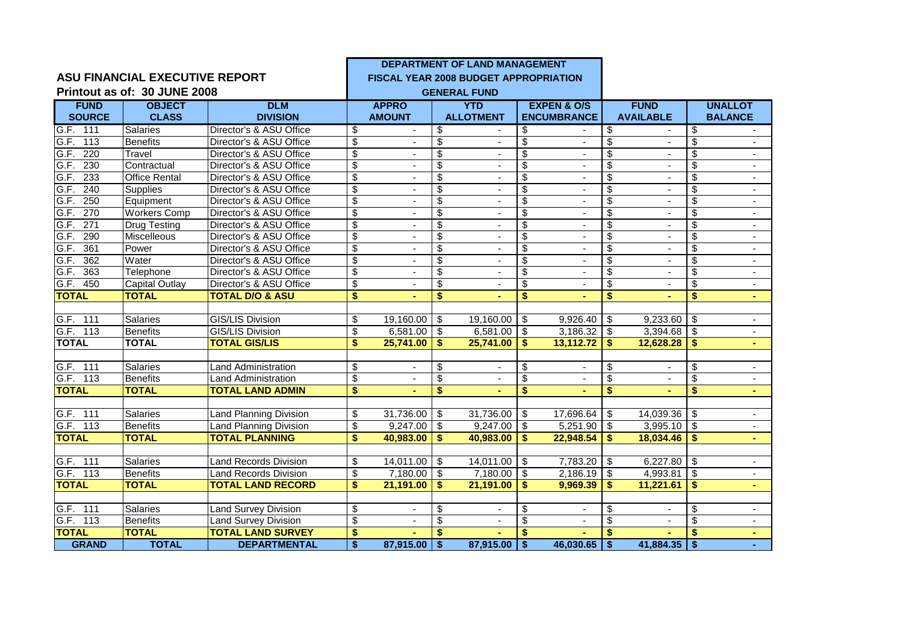|                          |                                       |                               |                                      |                          |                                  | DEPARTMENT OF LAND MANAGEMENT                |                          |                          |                          |                          |                          |                |
|--------------------------|---------------------------------------|-------------------------------|--------------------------------------|--------------------------|----------------------------------|----------------------------------------------|--------------------------|--------------------------|--------------------------|--------------------------|--------------------------|----------------|
|                          | <b>ASU FINANCIAL EXECUTIVE REPORT</b> |                               |                                      |                          |                                  | <b>FISCAL YEAR 2008 BUDGET APPROPRIATION</b> |                          |                          |                          |                          |                          |                |
|                          | Printout as of: 30 JUNE 2008          |                               |                                      |                          |                                  | <b>GENERAL FUND</b>                          |                          |                          |                          |                          |                          |                |
| <b>FUND</b>              | <b>OBJECT</b>                         | <b>DLM</b>                    |                                      | <b>APPRO</b>             |                                  | <b>YTD</b>                                   |                          | <b>EXPEN &amp; O/S</b>   |                          | <b>FUND</b>              |                          | <b>UNALLOT</b> |
| <b>SOURCE</b>            | <b>CLASS</b>                          | <b>DIVISION</b>               |                                      | <b>AMOUNT</b>            |                                  | <b>ALLOTMENT</b>                             |                          | <b>ENCUMBRANCE</b>       |                          | <b>AVAILABLE</b>         |                          | <b>BALANCE</b> |
| G.F. 111                 | <b>Salaries</b>                       | Director's & ASU Office       | \$                                   | $\sim$                   | \$                               |                                              | \$                       | $\blacksquare$           | \$                       | $\blacksquare$           | \$                       |                |
| G.F.<br>113              | <b>Benefits</b>                       | Director's & ASU Office       | \$                                   | $\blacksquare$           | \$                               | $\blacksquare$                               | \$                       | $\blacksquare$           | \$                       | $\blacksquare$           | \$                       | $\blacksquare$ |
| G.F.<br>220              | Travel                                | Director's & ASU Office       | \$                                   |                          | $\overline{\mathcal{S}}$         | $\overline{\phantom{a}}$                     | \$                       |                          | $\overline{\mathcal{S}}$ | $\overline{\phantom{a}}$ | \$                       |                |
| G.F. 230                 | Contractual                           | Director's & ASU Office       | $\overline{\$}$                      | $\blacksquare$           | $\overline{\$}$                  | $\blacksquare$                               | $\overline{\$}$          | $\blacksquare$           | $\overline{\$}$          | $\blacksquare$           | \$                       | $\blacksquare$ |
| 233<br>G.F.              | <b>Office Rental</b>                  | Director's & ASU Office       | \$                                   |                          | $\overline{\$}$                  |                                              | $\overline{\mathbb{S}}$  | $\sim$                   | $\overline{\$}$          |                          | \$                       |                |
| G.F.<br>240              | <b>Supplies</b>                       | Director's & ASU Office       | $\overline{\$}$                      |                          | $\overline{\$}$                  | $\mathbf{r}$                                 | $\overline{\mathbb{S}}$  |                          | $\overline{\$}$          | $\blacksquare$           | \$                       | $\blacksquare$ |
| G.F.<br>250              | Equipment                             | Director's & ASU Office       | \$                                   | $\blacksquare$           | $\overline{\$}$                  | $\blacksquare$                               | \$                       | $\blacksquare$           | $\overline{\mathbb{S}}$  | $\blacksquare$           | \$                       | $\sim$         |
| 270<br>G.F.              | <b>Workers Comp</b>                   | Director's & ASU Office       | \$                                   |                          | $\overline{\$}$                  | $\blacksquare$                               | $\overline{\$}$          | $\overline{\phantom{a}}$ | $\overline{\mathcal{G}}$ | $\frac{1}{2}$            | $\overline{\mathcal{S}}$ |                |
| $\overline{271}$<br>G.F. | <b>Drug Testing</b>                   | Director's & ASU Office       | $\overline{\mathbf{S}}$              |                          | $\overline{\boldsymbol{\theta}}$ | $\blacksquare$                               | $\overline{\mathbf{3}}$  |                          | $\overline{\mathbf{S}}$  | $\sim$                   | \$                       | $\sim$         |
| 290<br>G.F.              | Miscelleous                           | Director's & ASU Office       | $\overline{\$}$                      |                          | $\overline{\$}$                  |                                              | $\overline{\mathbb{S}}$  |                          | $\overline{\mathbb{S}}$  | $\sim$                   | $\overline{\mathcal{S}}$ | $\blacksquare$ |
| $\overline{361}$<br>G.F. | Power                                 | Director's & ASU Office       | $\overline{\mathbf{S}}$              |                          | $\overline{\mathbf{e}}$          |                                              | \$                       | $\blacksquare$           | $\overline{\mathbf{S}}$  | ٠                        | \$                       |                |
| G.F.<br>362              | Water                                 | Director's & ASU Office       | $\overline{\$}$                      | $\sim$                   | $\overline{\$}$                  | $\omega$                                     | $\overline{\mathbb{S}}$  | $\blacksquare$           | $\overline{\mathcal{S}}$ | $\mathbf{r}$             | \$                       | $\mathbf{r}$   |
| G.F.<br>363              | Telephone                             | Director's & ASU Office       | $\overline{\mathbf{S}}$              | $\blacksquare$           | $\overline{\mathbf{S}}$          | $\overline{\phantom{a}}$                     | $\overline{\mathbf{S}}$  | $\overline{\phantom{a}}$ | $\overline{\mathbf{e}}$  | $\blacksquare$           | \$                       | $\blacksquare$ |
| G.F.<br>450              | Capital Outlay                        | Director's & ASU Office       | \$                                   |                          | $\overline{\mathcal{S}}$         |                                              | $\overline{\mathbb{S}}$  |                          | $\overline{\$}$          |                          | \$                       | $\blacksquare$ |
| <b>TOTAL</b>             | <b>TOTAL</b>                          | <b>TOTAL D/O &amp; ASU</b>    | $\overline{\boldsymbol{\mathsf{s}}}$ | $\blacksquare$           | $\overline{\mathbf{S}}$          |                                              | $\overline{\mathbf{s}}$  |                          | $\overline{\$}$          |                          | \$                       | $\blacksquare$ |
|                          |                                       |                               |                                      |                          |                                  |                                              |                          |                          |                          |                          |                          |                |
| G.F. 111                 | Salaries                              | <b>GIS/LIS Division</b>       | \$                                   | 19,160.00                | \$                               | 19,160.00                                    | $\sqrt{3}$               | 9,926.40                 | \$                       | 9,233.60                 | $\Theta$                 | $\blacksquare$ |
| G.F. 113                 | <b>Benefits</b>                       | GIS/LIS Division              | \$                                   | 6,581.00                 | \$                               | 6,581.00                                     | \$                       | 3,186.32                 | $\mathbf{\hat{s}}$       | $3,394.68$ \$            |                          | $\blacksquare$ |
| <b>TOTAL</b>             | <b>TOTAL</b>                          | <b>TOTAL GIS/LIS</b>          | \$                                   | 25,741.00                | \$                               | 25,741.00                                    | \$                       | 13,112.72                | \$                       | 12,628.28                | \$                       | ٠              |
|                          |                                       |                               |                                      |                          |                                  |                                              |                          |                          |                          |                          |                          |                |
| G.F. 111                 | Salaries                              | <b>Land Administration</b>    | \$                                   |                          | $\overline{\mathcal{E}}$         |                                              | \$                       |                          | $\overline{\mathcal{S}}$ |                          | $\overline{\mathcal{S}}$ |                |
| G.F. 113                 | <b>Benefits</b>                       | <b>Land Administration</b>    | \$                                   |                          | $\overline{\mathbf{S}}$          | $\mathbf{r}$                                 | $\overline{\mathbf{s}}$  | $\blacksquare$           | $\overline{\mathbf{S}}$  | $\blacksquare$           | \$                       |                |
| <b>TOTAL</b>             | <b>TOTAL</b>                          | <b>TOTAL LAND ADMIN</b>       | \$                                   |                          | \$                               | ä,                                           | \$                       |                          | $\overline{\mathbf{s}}$  |                          | \$                       | $\blacksquare$ |
|                          |                                       |                               |                                      |                          |                                  |                                              |                          |                          |                          |                          |                          |                |
| G.F. 111                 | Salaries                              | <b>Land Planning Division</b> | \$                                   | 31,736.00                | \$                               | $31,736.00$ \$                               |                          | 17,696.64                | \$                       | $14,039.36$ \$           |                          |                |
| G.F. 113                 | Benefits                              | <b>Land Planning Division</b> | \$                                   | 9,247.00                 | \$                               | 9,247.00                                     | $\overline{\mathbf{3}}$  | 5,251.90                 | \$                       | $3,995.10$ \$            |                          |                |
| <b>TOTAL</b>             | <b>TOTAL</b>                          | <b>TOTAL PLANNING</b>         | \$                                   | 40,983.00                | \$.                              | 40,983.00                                    | Ŝ.                       | 22,948.54                | \$                       | 18,034.46                | \$                       |                |
|                          |                                       |                               |                                      |                          |                                  |                                              |                          |                          |                          |                          |                          |                |
| G.F. 111                 | Salaries                              | <b>Land Records Division</b>  | \$                                   | 14,011.00                | \$                               | 14,011.00                                    | \$                       | 7,783.20                 | \$                       | $6,227.80$ \$            |                          | $\blacksquare$ |
| G.F. 113                 | <b>Benefits</b>                       | <b>Land Records Division</b>  | \$                                   | 7,180.00                 | \$                               | $7,180.00$ \$                                |                          | 2,186.19                 | $\overline{\mathcal{S}}$ | $4,993.81$ \$            |                          | $\blacksquare$ |
| <b>TOTAL</b>             | <b>TOTAL</b>                          | <b>TOTAL LAND RECORD</b>      | \$                                   | 21,191.00                | \$                               | 21,191.00                                    | \$                       | 9,969.39                 | \$                       | 11,221.61                | \$                       |                |
|                          |                                       |                               |                                      |                          |                                  |                                              |                          |                          |                          |                          |                          |                |
| G.F. 111                 | Salaries                              | <b>Land Survey Division</b>   | \$                                   | $\overline{a}$           | \$                               | $\blacksquare$                               | \$                       | $\blacksquare$           | \$                       | $\blacksquare$           | \$                       | $\blacksquare$ |
| G.F. 113                 | <b>Benefits</b>                       | <b>Land Survey Division</b>   | \$                                   | $\overline{\phantom{a}}$ | $\overline{\mathbf{3}}$          | $\blacksquare$                               | $\overline{\mathcal{E}}$ | $\blacksquare$           | $\overline{\$}$          | $\blacksquare$           | $\overline{\mathcal{S}}$ | $\blacksquare$ |
| <b>TOTAL</b>             | <b>TOTAL</b>                          | <b>TOTAL LAND SURVEY</b>      | \$                                   |                          | \$                               |                                              | \$                       |                          | \$                       |                          | S                        |                |
| <b>GRAND</b>             | <b>TOTAL</b>                          | <b>DEPARTMENTAL</b>           | $\overline{\bullet}$                 | 87,915.00                | \$                               | $87,915.00$ \$                               |                          | 46,030.65                | $\overline{1}$           | $41,884.35$ \$           |                          |                |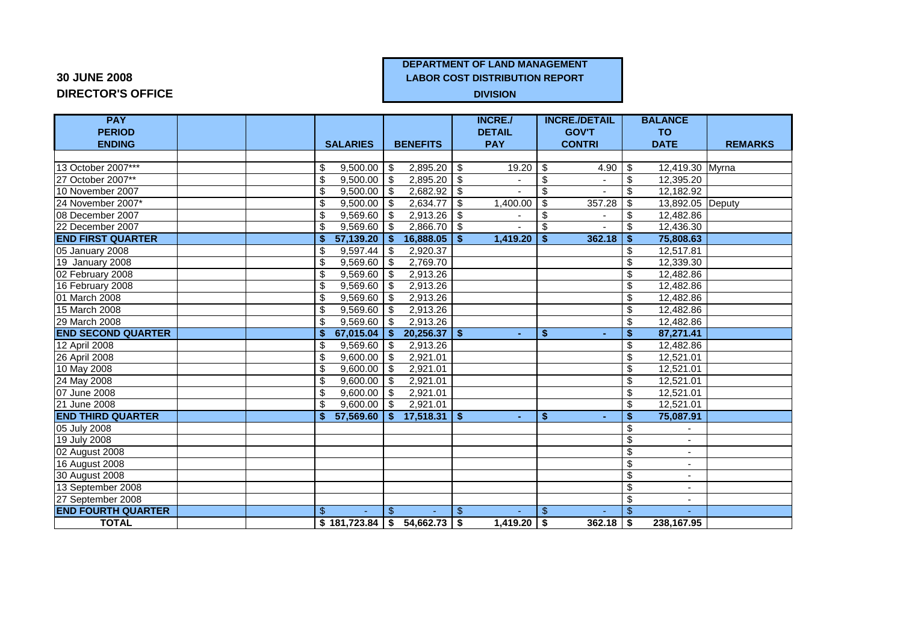# **30 JUNE 2008 LABOR COST DISTRIBUTION REPORT**

## **DIRECTOR'S OFFICE DIVISION**

## **DEPARTMENT OF LAND MANAGEMENT**

| <b>PAY</b>                |                              |                                      | <b>INCRE./</b>       | <b>INCRE./DETAIL</b> | <b>BALANCE</b>                                       |                |
|---------------------------|------------------------------|--------------------------------------|----------------------|----------------------|------------------------------------------------------|----------------|
| <b>PERIOD</b>             |                              |                                      | <b>DETAIL</b>        | <b>GOV'T</b>         | <b>TO</b>                                            |                |
| <b>ENDING</b>             | <b>SALARIES</b>              | <b>BENEFITS</b>                      | <b>PAY</b>           | <b>CONTRI</b>        | <b>DATE</b>                                          | <b>REMARKS</b> |
|                           |                              |                                      |                      |                      |                                                      |                |
| 13 October 2007***        | 9,500.00<br>S.               | 2,895.20<br>l \$                     | 19.20<br>∣\$         | \$<br>4.90           | 12,419.30 Myrna<br>  \$                              |                |
| 27 October 2007**         | \$<br>$9,500.00$ \$          | $2,895.20$ \$                        |                      | \$                   | 12,395.20<br>\$                                      |                |
| 10 November 2007          | 9,500.00<br>\$               | 2,682.92<br>l \$                     | \$                   | \$                   | \$<br>12,182.92                                      |                |
| 24 November 2007*         | 9,500.00<br>\$               | $2,634.77$ \$<br>l \$                | 1,400.00             | 357.28<br>-\$        | \$<br>13,892.05 Deputy                               |                |
| 08 December 2007          | 9,569.60<br>\$               | 2,913.26<br>- \$                     | \$<br>$\blacksquare$ | \$                   | \$<br>12,482.86                                      |                |
| 22 December 2007          | $9,569.60$ \$<br>\$          | $2,866.70$ \ \$                      |                      | \$                   | \$<br>12,436.30                                      |                |
| <b>END FIRST QUARTER</b>  | $57,139.20$ $\sqrt{5}$<br>\$ | $16,888.05$ $\frac{8}{5}$            | 1,419.20             | 362.18<br>\$         | - \$<br>75,808.63                                    |                |
| 05 January 2008           | 9,597.44<br>\$               | 2,920.37<br>\$                       |                      |                      | \$<br>12,517.81                                      |                |
| 19 January 2008           | \$<br>9,569.60               | 2,769.70<br>l \$                     |                      |                      | $\overline{\mathcal{E}}$<br>12,339.30                |                |
| 02 February 2008          | 9,569.60<br>\$               | 2,913.26<br>l \$                     |                      |                      | $\overline{\mathbf{S}}$<br>12,482.86                 |                |
| 16 February 2008          | \$<br>9,569.60               | 2,913.26<br>- \$                     |                      |                      | $\overline{\mathcal{E}}$<br>12,482.86                |                |
| 01 March 2008             | 9,569.60<br>\$               | 2,913.26<br>-\$                      |                      |                      | \$<br>12,482.86                                      |                |
| 15 March 2008             | $9,569.60$ \$<br>\$          | 2,913.26                             |                      |                      | $\overline{\mathcal{S}}$<br>12,482.86                |                |
| 29 March 2008             | 9,569.60<br>\$               | 2,913.26<br>l \$                     |                      |                      | \$<br>12,482.86                                      |                |
| <b>END SECOND QUARTER</b> | S.                           | $67,015.04$ \$ 20,256.37 \$          | ÷.                   | Ŝ.                   | \$<br>87,271.41                                      |                |
| 12 April 2008             | 9,569.60<br>\$               | 2,913.26<br>l \$                     |                      |                      | \$<br>12,482.86                                      |                |
| 26 April 2008             | 9,600.00<br>\$               | 2,921.01<br>l \$                     |                      |                      | \$<br>12,521.01                                      |                |
| 10 May 2008               | \$<br>9,600.00               | 2,921.01<br>- \$                     |                      |                      | $\overline{\mathcal{S}}$<br>12,521.01                |                |
| 24 May 2008               | 9,600.00<br>\$               | 2,921.01<br>-S                       |                      |                      | \$<br>12,521.01                                      |                |
| 07 June 2008              | 9,600.00<br>\$               | 2,921.01<br>- \$                     |                      |                      | \$<br>12,521.01                                      |                |
| 21 June 2008              | \$<br>$9,600.00$ \$          | 2,921.01                             |                      |                      | $\overline{\mathbf{S}}$<br>12,521.01                 |                |
| <b>END THIRD QUARTER</b>  |                              | $$57,569.60 \mid $17,518.31 \mid $$  |                      | Ŝ.                   | \$<br>75,087.91                                      |                |
| 05 July 2008              |                              |                                      |                      |                      | \$                                                   |                |
| 19 July 2008              |                              |                                      |                      |                      | \$                                                   |                |
| 02 August 2008            |                              |                                      |                      |                      | $\overline{\mathcal{G}}$                             |                |
| 16 August 2008            |                              |                                      |                      |                      | \$<br>$\overline{\phantom{a}}$                       |                |
| 30 August 2008            |                              |                                      |                      |                      | $\overline{\mathcal{S}}$<br>$\overline{\phantom{a}}$ |                |
| 13 September 2008         |                              |                                      |                      |                      | \$                                                   |                |
| 27 September 2008         |                              |                                      |                      |                      | $\overline{\mathcal{S}}$                             |                |
| <b>END FOURTH QUARTER</b> | \$                           | $\mathfrak{L}$                       | \$                   | \$                   | $\mathbb{S}$                                         |                |
| <b>TOTAL</b>              |                              | $$181,723.84 \mid $54,662.73 \mid $$ | $1,419.20$ \ \$      | $362.18$ \$          | 238,167.95                                           |                |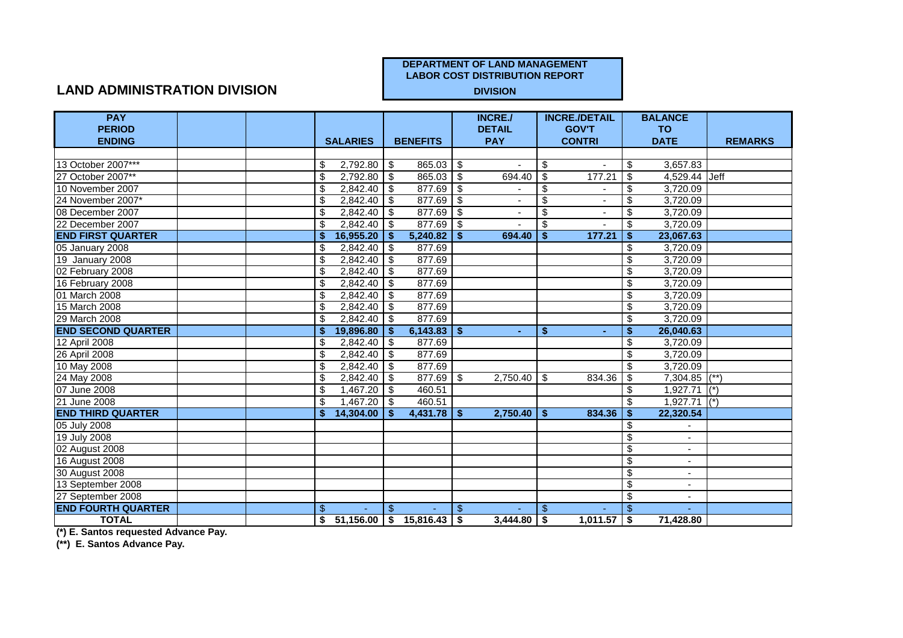## **LAND ADMINISTRATION DIVISION**

| <b>PAY</b>                |  |    |                 |                |                             |                | <b>INCRE./</b> |                          | <b>INCRE./DETAIL</b> |                                        | <b>BALANCE</b>            |                |
|---------------------------|--|----|-----------------|----------------|-----------------------------|----------------|----------------|--------------------------|----------------------|----------------------------------------|---------------------------|----------------|
| <b>PERIOD</b>             |  |    |                 |                |                             |                | <b>DETAIL</b>  |                          | <b>GOV'T</b>         |                                        | <b>TO</b>                 |                |
| <b>ENDING</b>             |  |    | <b>SALARIES</b> |                | <b>BENEFITS</b>             |                | <b>PAY</b>     |                          | <b>CONTRI</b>        |                                        | <b>DATE</b>               | <b>REMARKS</b> |
|                           |  |    |                 |                |                             |                |                |                          |                      |                                        |                           |                |
| 13 October 2007***        |  | \$ | $2,792.80$ \$   |                | $865.03$ \$                 |                | $\blacksquare$ | \$                       |                      | \$                                     | 3,657.83                  |                |
| 27 October 2007**         |  | \$ | $2,792.80$ \$   |                | $865.03$ \$                 |                | 694.40         | $\overline{\mathcal{S}}$ | 177.21               | $\overline{\mathcal{S}}$               | 4,529.44 Jeff             |                |
| 10 November 2007          |  | \$ | $2,842.40$ \$   |                | 877.69                      | \$             |                | \$                       |                      | \$                                     | 3,720.09                  |                |
| 24 November 2007*         |  | \$ | $2,842.40$ \$   |                | 877.69                      | \$             |                | \$                       |                      | \$                                     | 3,720.09                  |                |
| 08 December 2007          |  | \$ | $2,842.40$ \$   |                | 877.69                      | \$             |                | \$                       |                      | \$                                     | 3,720.09                  |                |
| 22 December 2007          |  | \$ | $2,842.40$ \$   |                | 877.69                      | -\$            |                | \$                       |                      | \$                                     | 3,720.09                  |                |
| <b>END FIRST QUARTER</b>  |  | Ŝ. | 16,955.20       | <b>S</b>       | 5,240.82                    | Ŝ.             | 694.40         | \$                       | 177.21               | -\$                                    | 23,067.63                 |                |
| 05 January 2008           |  | \$ | 2,842.40        | l \$           | 877.69                      |                |                |                          |                      | \$                                     | 3,720.09                  |                |
| 19 January 2008           |  | \$ | 2,842.40        | $\sqrt{3}$     | 877.69                      |                |                |                          |                      | \$                                     | 3,720.09                  |                |
| 02 February 2008          |  | \$ | 2,842.40        | $\sqrt{3}$     | 877.69                      |                |                |                          |                      | $\overline{\mathbf{s}}$                | 3,720.09                  |                |
| 16 February 2008          |  | \$ | $2,842.40$ \$   |                | 877.69                      |                |                |                          |                      | \$                                     | 3,720.09                  |                |
| 01 March 2008             |  | \$ | 2,842.40        | l \$           | 877.69                      |                |                |                          |                      | $\boldsymbol{\mathsf{S}}$              | 3,720.09                  |                |
| 15 March 2008             |  | \$ | $2,842.40$ \$   |                | 877.69                      |                |                |                          |                      | $\overline{\mathbf{s}}$                | 3,720.09                  |                |
| 29 March 2008             |  | \$ | $2,842.40$ \$   |                | 877.69                      |                |                |                          |                      | $\boldsymbol{\mathsf{S}}$              | 3,720.09                  |                |
| <b>END SECOND QUARTER</b> |  | Ŝ. | 19,896.80       | - \$           | $6,143.83$ \$               |                | ÷.             | \$                       |                      | $\overline{\mathbf{s}}$                | 26,040.63                 |                |
| 12 April 2008             |  | \$ | 2,842.40        | l \$           | 877.69                      |                |                |                          |                      | \$                                     | 3,720.09                  |                |
| 26 April 2008             |  | \$ | $2,842.40$ \$   |                | 877.69                      |                |                |                          |                      | \$                                     | 3,720.09                  |                |
| 10 May 2008               |  | \$ | $2,842.40$ \$   |                | 877.69                      |                |                |                          |                      | $\overline{\mathbf{s}}$                | 3,720.09                  |                |
| 24 May 2008               |  | \$ | 2,842.40        | l \$           | 877.69                      | \$             | 2,750.40       | \$                       | 834.36               | $\overline{\boldsymbol{\mathfrak{s}}}$ | $7,304.85$ (**            |                |
| 07 June 2008              |  | \$ | 1,467.20        | l \$           | 460.51                      |                |                |                          |                      | \$                                     | $1,927.\overline{71}$ (*) |                |
| 21 June 2008              |  | \$ | $1,467.20$ \\$  |                | 460.51                      |                |                |                          |                      | \$                                     | 1,927.71 $(*)$            |                |
| <b>END THIRD QUARTER</b>  |  | \$ | 14,304.00       | \$.            | 4,431.78                    | Ŝ.             | 2,750.40       | Ŝ.                       | 834.36               | $\boldsymbol{\hat{s}}$                 | 22,320.54                 |                |
| 05 July 2008              |  |    |                 |                |                             |                |                |                          |                      | \$                                     |                           |                |
| 19 July 2008              |  |    |                 |                |                             |                |                |                          |                      | $\overline{\boldsymbol{\theta}}$       | $\sim$                    |                |
| 02 August 2008            |  |    |                 |                |                             |                |                |                          |                      | \$                                     | $\overline{\phantom{a}}$  |                |
| 16 August 2008            |  |    |                 |                |                             |                |                |                          |                      | $\overline{\mathcal{E}}$               | $\overline{\phantom{a}}$  |                |
| 30 August 2008            |  |    |                 |                |                             |                |                |                          |                      | $\overline{\mathbf{S}}$                | $\overline{\phantom{a}}$  |                |
| 13 September 2008         |  |    |                 |                |                             |                |                |                          |                      | $\overline{\mathbf{S}}$                | $\overline{\phantom{a}}$  |                |
| 27 September 2008         |  |    |                 |                |                             |                |                |                          |                      | $\overline{\mathbf{s}}$                | $\blacksquare$            |                |
| <b>END FOURTH QUARTER</b> |  | \$ |                 | $\mathfrak{L}$ |                             | $\mathfrak{L}$ |                | \$                       |                      | \$                                     | ÷                         |                |
| <b>TOTAL</b>              |  | \$ |                 |                | $51,156.00$ \$ 15,816.43 \$ |                | $3,444.80$ \$  |                          | 1,011.57             | \$                                     | 71,428.80                 |                |

**(\*) E. Santos requested Advance Pay.**

**(\*\*) E. Santos Advance Pay.**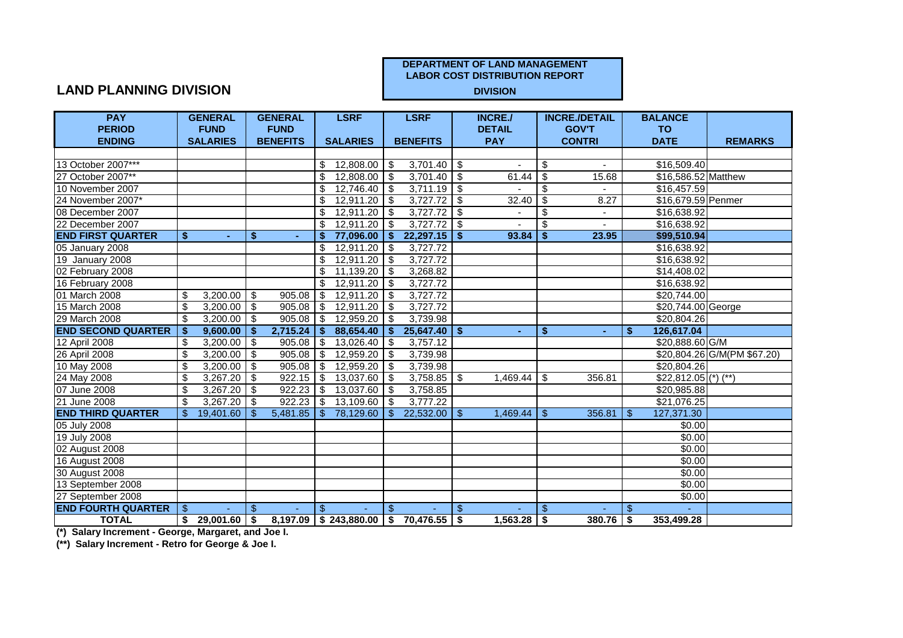## **LAND PLANNING DIVISION**

| <b>PAY</b>                |                | <b>GENERAL</b>   |                | <b>GENERAL</b>  |               | <b>LSRF</b>     |               | <b>LSRF</b>                            |                | <b>INCRE./</b>  |               | <b>INCRE./DETAIL</b> |                | <b>BALANCE</b>        |                             |
|---------------------------|----------------|------------------|----------------|-----------------|---------------|-----------------|---------------|----------------------------------------|----------------|-----------------|---------------|----------------------|----------------|-----------------------|-----------------------------|
| <b>PERIOD</b>             |                | <b>FUND</b>      |                | <b>FUND</b>     |               |                 |               |                                        |                | <b>DETAIL</b>   |               | <b>GOV'T</b>         |                | <b>TO</b>             |                             |
| <b>ENDING</b>             |                | <b>SALARIES</b>  |                | <b>BENEFITS</b> |               | <b>SALARIES</b> |               | <b>BENEFITS</b>                        |                | <b>PAY</b>      |               | <b>CONTRI</b>        |                | <b>DATE</b>           | <b>REMARKS</b>              |
|                           |                |                  |                |                 |               |                 |               |                                        |                |                 |               |                      |                |                       |                             |
| 13 October 2007***        |                |                  |                |                 | S.            | 12,808.00       | - \$          | 3,701.40                               | <b>IS</b>      |                 | -\$           |                      |                | \$16,509.40           |                             |
| 27 October 2007**         |                |                  |                |                 | \$            | 12,808.00       | \$            | 3,701.40                               | -\$            | 61.44           | \$            | 15.68                |                | \$16,586.52 Matthew   |                             |
| 10 November 2007          |                |                  |                |                 | \$            | 12,746.40       | -\$           | 3,711.19                               | -\$            |                 | \$            |                      |                | \$16,457.59           |                             |
| 24 November 2007*         |                |                  |                |                 | \$            | 12,911.20       | -\$           | 3,727.72                               | \$             | 32.40           | -\$           | 8.27                 |                | \$16,679.59 Penmer    |                             |
| 08 December 2007          |                |                  |                |                 | \$            | 12,911.20       | \$            | 3,727.72                               | -\$            |                 | \$            |                      |                | \$16,638.92           |                             |
| 22 December 2007          |                |                  |                |                 | \$            | 12,911.20       | \$            | 3,727.72                               | \$             |                 | \$            |                      |                | \$16,638.92           |                             |
| <b>END FIRST QUARTER</b>  | Ŝ.             |                  | \$             | $\sim$          | \$            | 77,096.00       | \$            | 22,297.15                              | S.             | 93.84           | Ŝ.            | 23.95                |                | \$99,510.94           |                             |
| 05 January 2008           |                |                  |                |                 | \$            | 12,911.20       | -\$           | 3,727.72                               |                |                 |               |                      |                | \$16,638.92           |                             |
| 19 January 2008           |                |                  |                |                 | \$            | 12,911.20       | \$            | 3,727.72                               |                |                 |               |                      |                | \$16,638.92           |                             |
| 02 February 2008          |                |                  |                |                 | \$            | 11,139.20       | -\$           | 3,268.82                               |                |                 |               |                      |                | \$14,408.02           |                             |
| 16 February 2008          |                |                  |                |                 | \$            | 12,911.20       | \$            | 3,727.72                               |                |                 |               |                      |                | \$16,638.92           |                             |
| 01 March 2008             | \$             | 3,200.00         | $\sqrt{3}$     | 905.08          | \$            | 12,911.20       | \$            | 3,727.72                               |                |                 |               |                      |                | \$20,744.00           |                             |
| 15 March 2008             | \$             | 3,200.00         | -\$            | 905.08          | - \$          | 12,911.20       | \$            | 3,727.72                               |                |                 |               |                      |                | \$20,744.00 George    |                             |
| 29 March 2008             | \$             |                  |                | $905.08$ \ \ \$ |               | 12.959.20       | \$            | 3,739.98                               |                |                 |               |                      |                | \$20,804.26           |                             |
| <b>END SECOND QUARTER</b> | Ŝ.             | 9,600.00         | \$             | 2,715.24        | \$            | 88,654.40       | \$.           | $25,647.40$ \$                         |                | $\sim$          | \$            | ٠                    | \$             | 126,617.04            |                             |
| 12 April 2008             | \$             | 3,200.00         | \$             | 905.08          | $\sqrt[6]{3}$ | 13,026.40       | \$            | 3,757.12                               |                |                 |               |                      |                | \$20,888.60 G/M       |                             |
| 26 April 2008             | \$             | 3,200.00         | \$             | 905.08          | \$            | 12,959.20       | \$            | 3,739.98                               |                |                 |               |                      |                |                       | \$20,804.26 G/M(PM \$67.20) |
| 10 May 2008               | \$             | 3,200.00         | \$             | 905.08          | \$            | 12,959.20       | \$            | 3,739.98                               |                |                 |               |                      |                | \$20,804.26           |                             |
| 24 May 2008               | \$             | 3,267.20         | \$             | 922.15          | \$            | 13,037.60       | S             | 3,758.85                               | \$             | $1,469.44$ \\$  |               | 356.81               |                | $$22,812.05$ (*) (**) |                             |
| 07 June 2008              | \$             | 3,267.20         | \$             | 922.23          | -\$           | 13,037.60       | \$            | 3,758.85                               |                |                 |               |                      |                | \$20,985.88           |                             |
| 21 June 2008              | \$             | 3,267.20         | -\$            | 922.23          | \$            | 13,109.60       | \$            | 3.777.22                               |                |                 |               |                      |                | \$21,076.25           |                             |
| <b>END THIRD QUARTER</b>  | $\mathfrak{L}$ | 19,401.60        | $\mathbf{\$}$  | 5,481.85        | $\mathbb{S}$  | 78,129.60       | $\mathbb{S}$  | $22,532.00$ \ \$                       |                |                 |               | 356.81               | \$             | 127,371.30            |                             |
| 05 July 2008              |                |                  |                |                 |               |                 |               |                                        |                |                 |               |                      |                | \$0.00                |                             |
| 19 July 2008              |                |                  |                |                 |               |                 |               |                                        |                |                 |               |                      |                | \$0.00                |                             |
| 02 August 2008            |                |                  |                |                 |               |                 |               |                                        |                |                 |               |                      |                | $\overline{$}0.00$    |                             |
| <b>16 August 2008</b>     |                |                  |                |                 |               |                 |               |                                        |                |                 |               |                      |                | \$0.00                |                             |
| 30 August 2008            |                |                  |                |                 |               |                 |               |                                        |                |                 |               |                      |                | \$0.00                |                             |
| 13 September 2008         |                |                  |                |                 |               |                 |               |                                        |                |                 |               |                      |                | \$0.00                |                             |
| 27 September 2008         |                |                  |                |                 |               |                 |               |                                        |                |                 |               |                      |                | \$0.00                |                             |
| <b>END FOURTH QUARTER</b> | $\mathbf{\$}$  |                  | $\mathfrak{L}$ |                 | $\mathbf{\$}$ |                 | $\mathbf{\$}$ |                                        | $\mathfrak{L}$ |                 | $\mathbf{\$}$ |                      | $\mathfrak{S}$ |                       |                             |
| <b>TOTAL</b>              | \$             | $29,001.60$   \$ |                |                 |               |                 |               | $8,197.09$ \$243,880.00 \$70,476.55 \$ |                | $1,563.28$ \ \$ |               | $380.76$ \$          |                | 353,499.28            |                             |

**(\*) Salary Increment - George, Margaret, and Joe I.**

**(\*\*) Salary Increment - Retro for George & Joe I.**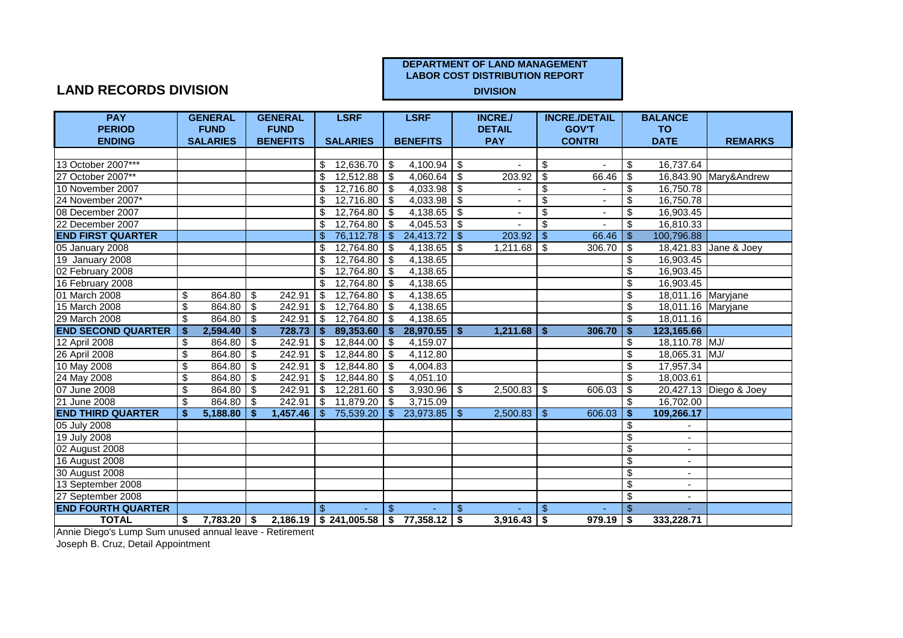## **LAND RECORDS DIVISION**

| <b>PAY</b>                |    | <b>GENERAL</b>  |                           | <b>GENERAL</b>  |               | <b>LSRF</b>      |                | <b>LSRF</b>                              |               | <b>INCRE./</b>           |                           | <b>INCRE./DETAIL</b> |                          | <b>BALANCE</b>           |                        |
|---------------------------|----|-----------------|---------------------------|-----------------|---------------|------------------|----------------|------------------------------------------|---------------|--------------------------|---------------------------|----------------------|--------------------------|--------------------------|------------------------|
| <b>PERIOD</b>             |    | <b>FUND</b>     |                           | <b>FUND</b>     |               |                  |                |                                          |               | <b>DETAIL</b>            |                           | <b>GOV'T</b>         |                          | <b>TO</b>                |                        |
| <b>ENDING</b>             |    | <b>SALARIES</b> |                           | <b>BENEFITS</b> |               | <b>SALARIES</b>  |                | <b>BENEFITS</b>                          |               | <b>PAY</b>               |                           | <b>CONTRI</b>        |                          | <b>DATE</b>              | <b>REMARKS</b>         |
|                           |    |                 |                           |                 |               |                  |                |                                          |               |                          |                           |                      |                          |                          |                        |
| 13 October 2007***        |    |                 |                           |                 | S.            | $12,636.70$ \ \$ |                | 4,100.94                                 | - \$          | $\sim$                   | -\$                       |                      | \$                       | 16,737.64                |                        |
| 27 October 2007**         |    |                 |                           |                 | \$            | 12,512.88        | -\$            | 4,060.64                                 | \$            | 203.92                   | \$                        | 66.46                | \$                       |                          | 16,843.90 Mary&Andrew  |
| 10 November 2007          |    |                 |                           |                 | \$            | 12,716.80        | $\sqrt{3}$     | 4,033.98                                 | \$            |                          | $\frac{1}{2}$             |                      | \$                       | 16,750.78                |                        |
| 24 November 2007*         |    |                 |                           |                 | \$            | 12,716.80        | -\$            | 4,033.98                                 | \$            |                          | $\overline{\mathfrak{s}}$ |                      | \$                       | 16,750.78                |                        |
| 08 December 2007          |    |                 |                           |                 | \$            | 12,764.80        | \$             | 4,138.65                                 | \$            |                          | \$                        |                      | \$                       | 16,903.45                |                        |
| 22 December 2007          |    |                 |                           |                 | \$            | 12,764.80        | \$             | 4,045.53                                 | -\$           |                          | \$                        |                      | $\mathfrak{L}$           | 16,810.33                |                        |
| <b>END FIRST QUARTER</b>  |    |                 |                           |                 | \$            | 76,112.78        | $\mathcal{S}$  | 24,413.72                                | $\mathbf{\$}$ | 203.92                   | $\mathbf{\$}$             | 66.46                | \$                       | 100,796.88               |                        |
| 05 January 2008           |    |                 |                           |                 | \$            | 12,764.80        | -\$            | 4,138.65                                 | \$            | $1,211.68$ \$            |                           | 306.70               | \$                       |                          | 18,421.83 Jane & Joey  |
| 19 January 2008           |    |                 |                           |                 | \$            | 12,764.80        | \$             | 4,138.65                                 |               |                          |                           |                      | \$                       | 16,903.45                |                        |
| 02 February 2008          |    |                 |                           |                 | \$            | 12,764.80        | \$             | 4,138.65                                 |               |                          |                           |                      | $\overline{\mathcal{S}}$ | 16,903.45                |                        |
| 16 February 2008          |    |                 |                           |                 | \$            | 12,764.80        | $\sqrt{3}$     | 4,138.65                                 |               |                          |                           |                      | $\overline{\$}$          | 16,903.45                |                        |
| 01 March 2008             | \$ | 864.80          | $\boldsymbol{\mathsf{S}}$ | 242.91          | $\sqrt[6]{3}$ | 12,764.80        | \$             | 4,138.65                                 |               |                          |                           |                      | \$                       | 18,011.16 Maryjane       |                        |
| 15 March 2008             | \$ | 864.80          | \$                        | 242.91          | \$            | 12,764.80        | \$             | 4,138.65                                 |               |                          |                           |                      | $\overline{\mathcal{S}}$ | 18,011.16 Maryjane       |                        |
| 29 March 2008             | \$ | 864.80          | $\mathbf{\$}$             | 242.91          | \$            | 12,764.80        | \$             | 4,138.65                                 |               |                          |                           |                      | \$                       | 18,011.16                |                        |
| <b>END SECOND QUARTER</b> | \$ | 2,594.40        | $\mathbf{s}$              | 728.73          | $\mathbf{s}$  | 89,353.60        | $\mathbf{s}$   | $28,970.55$ \$                           |               | $1,211.68$   \$          |                           | 306.70               | $\mathbf{s}$             | 123,165.66               |                        |
| 12 April 2008             | \$ | 864.80          | \$                        | 242.91          | $\sqrt{3}$    | 12,844.00        | -\$            | 4,159.07                                 |               |                          |                           |                      | \$                       | 18,110.78 MJ/            |                        |
| 26 April 2008             | \$ | 864.80          | \$                        | 242.91          | \$            | 12,844.80        | \$             | 4,112.80                                 |               |                          |                           |                      | \$                       | 18,065.31 MJ/            |                        |
| 10 May 2008               | \$ | 864.80          | \$                        | 242.91          | \$            | 12,844.80        | \$             | 4,004.83                                 |               |                          |                           |                      | \$                       | 17,957.34                |                        |
| 24 May 2008               | \$ | 864.80          | -\$                       | 242.91          | \$            | 12,844.80        | -\$            | 4,051.10                                 |               |                          |                           |                      | \$                       | 18,003.61                |                        |
| 07 June 2008              | \$ | 864.80          | \$                        | 242.91          | $\sqrt{3}$    | 12,281.60        | - \$           | 3,930.96                                 | -\$           | $2,500.\overline{83}$ \$ |                           | 606.03               | \$                       |                          | 20,427.13 Diego & Joey |
| 21 June 2008              | \$ | 864.80          | \$                        | 242.91          | \$            | 11,879.20        | \$             | 3,715.09                                 |               |                          |                           |                      | $\mathfrak{L}$           | 16,702.00                |                        |
| <b>END THIRD QUARTER</b>  | S. | 5,188.80        | S.                        | 1,457.46        | \$            | 75,539.20        | $\mathbb{S}$   | 23,973.85                                | \$            | $2,500.83$   \$          |                           | 606.03               | -\$                      | 109,266.17               |                        |
| 05 July 2008              |    |                 |                           |                 |               |                  |                |                                          |               |                          |                           |                      | \$                       |                          |                        |
| 19 July 2008              |    |                 |                           |                 |               |                  |                |                                          |               |                          |                           |                      | $\overline{\mathbf{3}}$  | $\overline{\phantom{a}}$ |                        |
| 02 August 2008            |    |                 |                           |                 |               |                  |                |                                          |               |                          |                           |                      | \$                       | $\overline{\phantom{0}}$ |                        |
| <b>16 August 2008</b>     |    |                 |                           |                 |               |                  |                |                                          |               |                          |                           |                      | $\overline{\$}$          | $\blacksquare$           |                        |
| 30 August 2008            |    |                 |                           |                 |               |                  |                |                                          |               |                          |                           |                      | \$                       |                          |                        |
| 13 September 2008         |    |                 |                           |                 |               |                  |                |                                          |               |                          |                           |                      | $\overline{\$}$          | $\overline{\phantom{a}}$ |                        |
| 27 September 2008         |    |                 |                           |                 |               |                  |                |                                          |               |                          |                           |                      | $\overline{\mathcal{S}}$ | $\blacksquare$           |                        |
| <b>END FOURTH QUARTER</b> |    |                 |                           |                 | \$            |                  | $\mathfrak{L}$ |                                          | \$            |                          | $\mathfrak{L}$            |                      | $\mathfrak{L}$           |                          |                        |
| <b>TOTAL</b>              | S. | $7,783.20$ \$   |                           |                 |               |                  |                | $2,186.19$ \$ 241,005.58 \$ 77,358.12 \$ |               | $3,916.43$ \$            |                           | 979.19               | \$                       | 333,228.71               |                        |

Annie Diego's Lump Sum unused annual leave - Retirement

Joseph B. Cruz, Detail Appointment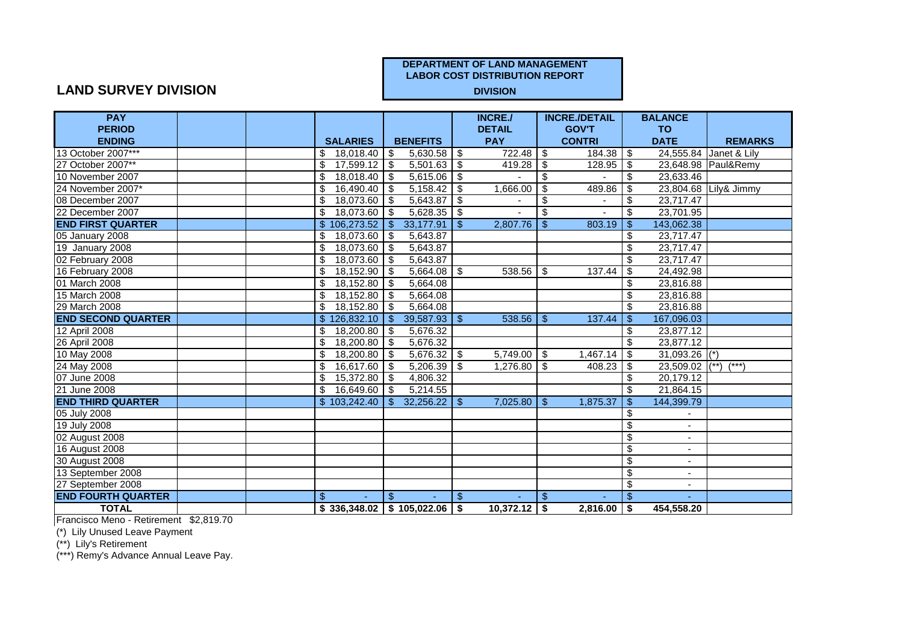## **LAND SURVEY DIVISION**

| <b>PAY</b>                |  |                      |                                       |                | <b>INCRE./</b>  |                          | <b>INCRE./DETAIL</b> |                           | <b>BALANCE</b>           |                        |
|---------------------------|--|----------------------|---------------------------------------|----------------|-----------------|--------------------------|----------------------|---------------------------|--------------------------|------------------------|
| <b>PERIOD</b>             |  |                      |                                       |                | <b>DETAIL</b>   |                          | <b>GOV'T</b>         |                           | <b>TO</b>                |                        |
| <b>ENDING</b>             |  | <b>SALARIES</b>      | <b>BENEFITS</b>                       |                | <b>PAY</b>      |                          | <b>CONTRI</b>        |                           | <b>DATE</b>              | <b>REMARKS</b>         |
| 13 October 2007***        |  | \$<br>18,018.40      | \$<br>5,630.58                        | -\$            |                 |                          | 184.38               | \$                        |                          | 24,555.84 Janet & Lily |
| 27 October 2007**         |  | \$<br>$17,599.12$ \$ | $5,501.63$ \$                         |                |                 |                          | 128.95               | \$                        |                          | 23,648.98 Paul&Remy    |
| 10 November 2007          |  | 18,018.40<br>\$      | 5,615.06<br>- \$                      | \$             |                 | \$                       |                      | \$                        | 23,633.46                |                        |
| 24 November 2007*         |  | 16,490.40<br>\$      | 5,158.42<br>-\$                       | \$             | 1,666.00        | -\$                      | 489.86               | \$                        |                          | 23,804.68 Lily& Jimmy  |
| 08 December 2007          |  | 18,073.60 \$<br>\$   | 5,643.87                              | -\$            |                 | \$                       |                      | \$                        | 23,717.47                |                        |
| 22 December 2007          |  | \$<br>18,073.60      | 5,628.35<br>$\sqrt{3}$                | -\$            |                 | $\overline{\mathcal{S}}$ |                      | \$                        | 23,701.95                |                        |
| <b>END FIRST QUARTER</b>  |  | \$106,273.52         | 33,177.91<br>$\mathbb{S}$             | \$             | 2,807.76        | $\mathcal{S}$            | 803.19               | $\boldsymbol{\mathsf{S}}$ | 143,062.38               |                        |
| 05 January 2008           |  | 18,073.60<br>\$      | \$<br>5,643.87                        |                |                 |                          |                      | \$                        | 23,717.47                |                        |
| 19 January 2008           |  | 18,073.60<br>\$      | 5,643.87<br>\$                        |                |                 |                          |                      | \$                        | 23,717.47                |                        |
| 02 February 2008          |  | 18,073.60<br>\$      | 5,643.87<br>-\$                       |                |                 |                          |                      | \$                        | 23,717.47                |                        |
| 16 February 2008          |  | \$<br>$18,152.90$ \$ | 5,664.08                              | \$             | $538.56$ \\$    |                          | 137.44               | $\overline{\mathfrak{s}}$ | 24,492.98                |                        |
| 01 March 2008             |  | 18,152.80<br>\$      | 5,664.08<br>$\sqrt{3}$                |                |                 |                          |                      | \$                        | 23,816.88                |                        |
| 15 March 2008             |  | 18,152.80<br>\$      | 5,664.08<br>\$                        |                |                 |                          |                      | \$                        | 23,816.88                |                        |
| 29 March 2008             |  | 18,152.80<br>\$      | 5,664.08<br>- \$                      |                |                 |                          |                      | \$                        | 23,816.88                |                        |
| <b>END SECOND QUARTER</b> |  | \$126,832.10         | 39,587.93<br>\$                       | $\mathfrak{S}$ | $538.56$ \ \ \$ |                          | 137.44               | $\mathcal{S}$             | 167,096.03               |                        |
| 12 April 2008             |  | 18,200.80<br>\$      | 5,676.32<br>l \$                      |                |                 |                          |                      | \$                        | 23,877.12                |                        |
| 26 April 2008             |  | 18,200.80<br>\$      | 5,676.32<br>- \$                      |                |                 |                          |                      | \$                        | 23,877.12                |                        |
| 10 May 2008               |  | 18,200.80<br>\$      | 5,676.32<br>$\bullet$                 | \$             | $5,749.00$ \$   |                          | 1,467.14             | ङ                         | 31,093.26 (*)            |                        |
| 24 May 2008               |  | 16,617.60<br>\$      | 5,206.39<br>-\$                       | \$             | $1,276.80$ \$   |                          | 408.23               | \$                        | 23,509.02                | $(**)$<br>$(***)$      |
| 07 June 2008              |  | 15,372.80<br>\$      | <b>S</b><br>4,806.32                  |                |                 |                          |                      | \$                        | 20,179.12                |                        |
| 21 June 2008              |  | 16,649.60<br>\$      | 5,214.55<br>- \$                      |                |                 |                          |                      | \$                        | 21,864.15                |                        |
| <b>END THIRD QUARTER</b>  |  | \$103,242.40         | 32,256.22<br>\$.                      | \$             | $7,025.80$ \$   |                          | 1,875.37             | \$                        | 144,399.79               |                        |
| 05 July 2008              |  |                      |                                       |                |                 |                          |                      | \$                        | $\overline{\phantom{a}}$ |                        |
| 19 July 2008              |  |                      |                                       |                |                 |                          |                      | \$                        | $\blacksquare$           |                        |
| 02 August 2008            |  |                      |                                       |                |                 |                          |                      | $\overline{\mathbf{e}}$   | $\overline{\phantom{a}}$ |                        |
| 16 August 2008            |  |                      |                                       |                |                 |                          |                      | $\overline{\mathbf{s}}$   | $\overline{\phantom{0}}$ |                        |
| 30 August 2008            |  |                      |                                       |                |                 |                          |                      | $\overline{\mathbf{3}}$   | $\blacksquare$           |                        |
| 13 September 2008         |  |                      |                                       |                |                 |                          |                      | $\overline{\mathbf{3}}$   | $\overline{\phantom{a}}$ |                        |
| 27 September 2008         |  |                      |                                       |                |                 |                          |                      | $\overline{\mathbf{3}}$   |                          |                        |
| <b>END FOURTH QUARTER</b> |  | \$                   | $\mathbf{s}$                          | \$             |                 | \$                       |                      | $\mathfrak{L}$            |                          |                        |
| <b>TOTAL</b>              |  |                      | $$336,348.02 \mid $105,022.06 \mid $$ |                | $10,372.12$ \$  |                          | 2,816.00             | <b>S</b>                  | 454,558.20               |                        |

Francisco Meno - Retirement \$2,819.70

(\*) Lily Unused Leave Payment

(\*\*) Lily's Retirement

(\*\*\*) Remy's Advance Annual Leave Pay.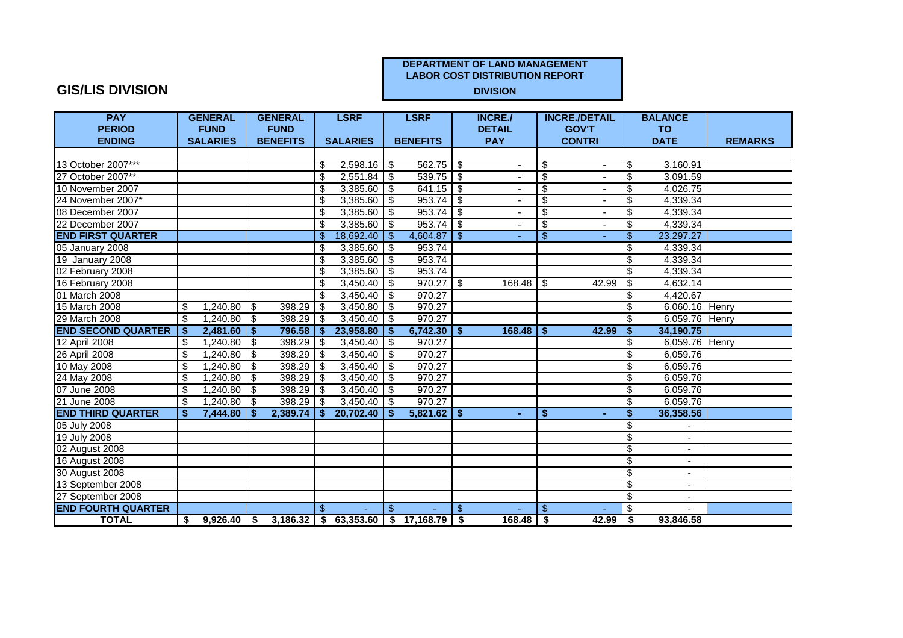## **GIS/LIS DIVISION**

| <b>PAY</b>                |     | <b>GENERAL</b>  |      | <b>GENERAL</b>  |                | <b>LSRF</b>              |                | <b>LSRF</b>                             |                         | <b>INCRE./</b> |                          | <b>INCRE./DETAIL</b> |                                      | <b>BALANCE</b> |                |
|---------------------------|-----|-----------------|------|-----------------|----------------|--------------------------|----------------|-----------------------------------------|-------------------------|----------------|--------------------------|----------------------|--------------------------------------|----------------|----------------|
| <b>PERIOD</b>             |     | <b>FUND</b>     |      | <b>FUND</b>     |                |                          |                |                                         |                         | <b>DETAIL</b>  |                          | <b>GOV'T</b>         |                                      | <b>TO</b>      |                |
| <b>ENDING</b>             |     | <b>SALARIES</b> |      | <b>BENEFITS</b> |                | <b>SALARIES</b>          |                | <b>BENEFITS</b>                         |                         | <b>PAY</b>     |                          | <b>CONTRI</b>        |                                      | <b>DATE</b>    | <b>REMARKS</b> |
|                           |     |                 |      |                 |                |                          |                |                                         |                         |                |                          |                      |                                      |                |                |
| 13 October 2007***        |     |                 |      |                 | \$             |                          |                | $\overline{562.75}$ \$                  |                         | $\sim$         | \$                       |                      | \$                                   | 3,160.91       |                |
| 27 October 2007**         |     |                 |      |                 | \$             | $2,551.84$ \$            |                | $539.75$ \$                             |                         |                | $\overline{\mathcal{E}}$ |                      | $\overline{\mathbf{S}}$              | 3,091.59       |                |
| 10 November 2007          |     |                 |      |                 | \$             | $3,385.\overline{60}$ \$ |                | 641.15                                  | $\overline{\mathbf{s}}$ |                | \$                       |                      | $\overline{\boldsymbol{\theta}}$     | 4,026.75       |                |
| 24 November 2007*         |     |                 |      |                 | \$             | 3,385.60                 | l \$           | 953.74                                  | -\$                     |                | \$                       |                      | \$                                   | 4,339.34       |                |
| 08 December 2007          |     |                 |      |                 | \$             | 3,385.60                 | \$             | 953.74                                  | \$                      |                | \$                       |                      | \$                                   | 4,339.34       |                |
| 22 December 2007          |     |                 |      |                 | \$             | 3,385.60                 | -\$            | 953.74                                  | \$                      | ۰              | $\overline{\mathcal{E}}$ |                      | $\overline{\mathbf{S}}$              | 4,339.34       |                |
| <b>END FIRST QUARTER</b>  |     |                 |      |                 | $\mathfrak{L}$ | 18,692.40                | -\$            | 4,604.87                                | $\mathbb{S}$            | ÷.             | $\$\$                    |                      | $\sqrt{3}$                           | 23,297.27      |                |
| 05 January 2008           |     |                 |      |                 | \$             | $3,385.\overline{60}$ \$ |                | 953.74                                  |                         |                |                          |                      | $\overline{\mathbf{S}}$              | 4,339.34       |                |
| 19 January 2008           |     |                 |      |                 | \$             | 3,385.60                 | ها             | 953.74                                  |                         |                |                          |                      | $\boldsymbol{\mathsf{S}}$            | 4,339.34       |                |
| 02 February 2008          |     |                 |      |                 | \$             | $3,385.60$ \$            |                | 953.74                                  |                         |                |                          |                      | \$                                   | 4,339.34       |                |
| 16 February 2008          |     |                 |      |                 | \$             | $3,450.40$ \$            |                | $970.27$ \$                             |                         |                |                          | 42.99                | $\overline{\mathcal{E}}$             | 4,632.14       |                |
| 01 March 2008             |     |                 |      |                 | \$             | $3,450.40$ \$            |                | 970.27                                  |                         |                |                          |                      | \$                                   | 4,420.67       |                |
| 15 March 2008             | \$  | 1,240.80        | -\$  | 398.29          | \$             | $3,450.80$ \$            |                | 970.27                                  |                         |                |                          |                      | \$                                   | 6,060.16 Henry |                |
| 29 March 2008             | \$  | $1,240.80$ \ \$ |      | 398.29          | \$             | $3,450.40$ \$            |                | 970.27                                  |                         |                |                          |                      | \$                                   | 6,059.76 Henry |                |
| <b>END SECOND QUARTER</b> | -\$ | 2,481.60        | l \$ | 796.58          | -S.            | 23,958.80                | -\$            | $6,742.30$ \$                           |                         | $168.48$ \ \$  |                          | 42.99                | $\sqrt[6]{3}$                        | 34,190.75      |                |
| 12 April 2008             | \$  | 1,240.80        | -\$  | 398.29          | \$             | 3,450.40                 | €              | 970.27                                  |                         |                |                          |                      | $\boldsymbol{\mathsf{S}}$            | 6,059.76 Henry |                |
| 26 April 2008             | \$  | 1,240.80        | -\$  | 398.29          | \$             | 3,450.40                 | -\$            | 970.27                                  |                         |                |                          |                      | $\overline{\mathbf{s}}$              | 6,059.76       |                |
| 10 May 2008               | \$  | 1,240.80        | \$   | 398.29          | \$             | 3,450.40                 | \$             | 970.27                                  |                         |                |                          |                      | $\boldsymbol{\mathsf{S}}$            | 6,059.76       |                |
| 24 May 2008               | \$  | 1,240.80        | -\$  | 398.29          | -\$            | 3,450.40                 | -\$            | 970.27                                  |                         |                |                          |                      | $\overline{\boldsymbol{\theta}}$     | 6,059.76       |                |
| 07 June 2008              | \$  | ,240.80         | -\$  | 398.29          | -\$            | 3,450.40                 | l \$           | 970.27                                  |                         |                |                          |                      | \$                                   | 6,059.76       |                |
| 21 June 2008              | \$  | 1.240.80        | -\$  | 398.29          | -\$            | 3,450.40                 | l \$           | 970.27                                  |                         |                |                          |                      | $\boldsymbol{\mathsf{S}}$            | 6.059.76       |                |
| <b>END THIRD QUARTER</b>  | \$  | 7,444.80        | -\$  | 2,389.74        | Ŝ.             | 20,702.40                | $\mathbf{s}$   | $5,821.62$ \$                           |                         | ÷              | \$                       |                      | $\overline{\boldsymbol{\mathsf{s}}}$ | 36,358.56      |                |
| 05 July 2008              |     |                 |      |                 |                |                          |                |                                         |                         |                |                          |                      | $\boldsymbol{\mathsf{S}}$            |                |                |
| 19 July 2008              |     |                 |      |                 |                |                          |                |                                         |                         |                |                          |                      | $\overline{\boldsymbol{\theta}}$     | ٠              |                |
| 02 August 2008            |     |                 |      |                 |                |                          |                |                                         |                         |                |                          |                      | $\overline{\boldsymbol{\theta}}$     | $\sim$         |                |
| 16 August 2008            |     |                 |      |                 |                |                          |                |                                         |                         |                |                          |                      | $\overline{\mathcal{E}}$             | $\blacksquare$ |                |
| 30 August 2008            |     |                 |      |                 |                |                          |                |                                         |                         |                |                          |                      | $\boldsymbol{\mathsf{S}}$            | $\blacksquare$ |                |
| 13 September 2008         |     |                 |      |                 |                |                          |                |                                         |                         |                |                          |                      | $\overline{\mathbf{s}}$              | $\blacksquare$ |                |
| 27 September 2008         |     |                 |      |                 |                |                          |                |                                         |                         |                |                          |                      | $\overline{\mathbf{s}}$              | $\blacksquare$ |                |
| <b>END FOURTH QUARTER</b> |     |                 |      |                 | $\mathbf{\$}$  |                          | $\mathfrak{L}$ |                                         | $\mathbb{S}$            |                | $\mathbb{S}$             |                      | \$                                   |                |                |
| <b>TOTAL</b>              | \$  | $9,926.40$ \$   |      |                 |                |                          |                | $3,186.32$ \$ 63,353.60 \$ 17,168.79 \$ |                         | $168.48$ \$    |                          | 42.99                | l \$                                 | 93,846.58      |                |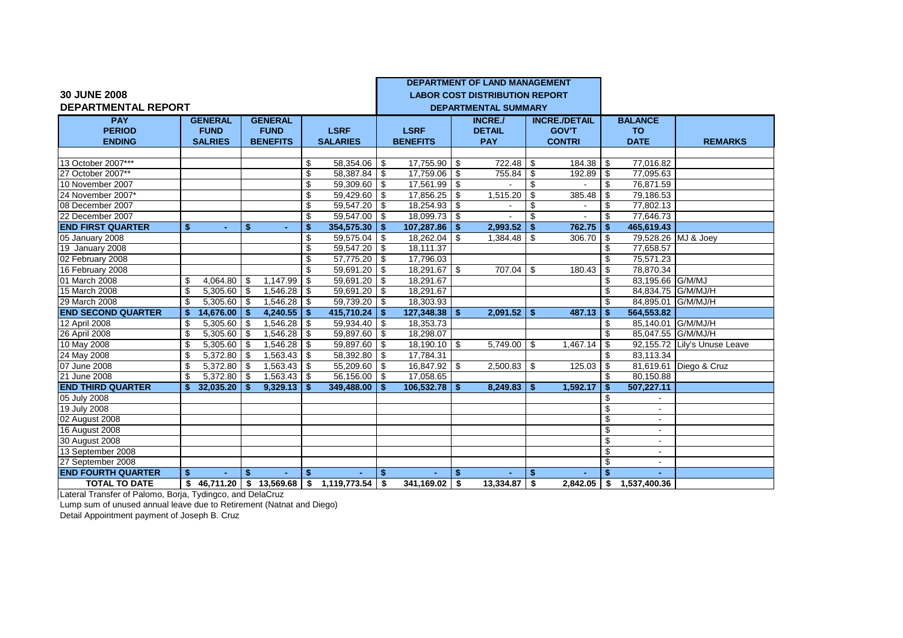|                            |              |                |            |                            |               |                   |      |                 |     | <b>DEPARTMENT OF LAND MANAGEMENT</b>  |     |                      |      |                          |                              |
|----------------------------|--------------|----------------|------------|----------------------------|---------------|-------------------|------|-----------------|-----|---------------------------------------|-----|----------------------|------|--------------------------|------------------------------|
| <b>30 JUNE 2008</b>        |              |                |            |                            |               |                   |      |                 |     | <b>LABOR COST DISTRIBUTION REPORT</b> |     |                      |      |                          |                              |
| <b>DEPARTMENTAL REPORT</b> |              |                |            |                            |               |                   |      |                 |     | <b>DEPARTMENTAL SUMMARY</b>           |     |                      |      |                          |                              |
| <b>PAY</b>                 |              | <b>GENERAL</b> |            | <b>GENERAL</b>             |               |                   |      |                 |     | <b>INCRE./</b>                        |     | <b>INCRE./DETAIL</b> |      | <b>BALANCE</b>           |                              |
| <b>PERIOD</b>              |              | <b>FUND</b>    |            | <b>FUND</b>                |               | <b>LSRF</b>       |      | <b>LSRF</b>     |     | <b>DETAIL</b>                         |     | <b>GOV'T</b>         |      | <b>TO</b>                |                              |
| <b>ENDING</b>              |              | <b>SALRIES</b> |            | <b>BENEFITS</b>            |               | <b>SALARIES</b>   |      | <b>BENEFITS</b> |     | <b>PAY</b>                            |     | <b>CONTRI</b>        |      | <b>DATE</b>              | <b>REMARKS</b>               |
|                            |              |                |            |                            |               |                   |      |                 |     |                                       |     |                      |      |                          |                              |
| 13 October 2007***         |              |                |            |                            | \$            | 58,354.06         | - \$ | 17,755.90       | -\$ | 722.48                                | -\$ | 184.38               | \$   | 77,016.82                |                              |
| 27 October 2007**          |              |                |            |                            | \$            | 58,387.84 \$      |      | 17,759.06       | -\$ | 755.84                                | \$  | 192.89               | \$   | 77,095.63                |                              |
| 10 November 2007           |              |                |            |                            | \$            | 59,309.60 \$      |      | 17,561.99       | \$  |                                       | \$  |                      | \$   | 76,871.59                |                              |
| 24 November 2007*          |              |                |            |                            | \$            | 59,429.60 \$      |      | 17,856.25       | \$  | 1,515.20                              | \$  | 385.48               | \$   | 79,186.53                |                              |
| 08 December 2007           |              |                |            |                            | \$            | $59,547.20$ \$    |      | 18,254.93 \$    |     |                                       | \$  |                      | \$   | 77,802.13                |                              |
| 22 December 2007           |              |                |            |                            | \$            | 59,547.00         | - \$ | $18,099.73$ \$  |     |                                       | \$  |                      | \$   | 77,646.73                |                              |
| <b>END FIRST QUARTER</b>   | \$           | $\sim$         | \$         | ٠                          | $\mathbf{\$}$ | 354,575.30        | \$   | 107,287.86      | -\$ | 2,993.52                              |     | 762.75               | \$   | 465,619.43               |                              |
| 05 January 2008            |              |                |            |                            | \$            | 59,575.04         | -\$  | 18,262.04       | -\$ | 1,384.48                              | \$  | 306.70               | \$   | 79,528.26 MJ & Joey      |                              |
| 19 January 2008            |              |                |            |                            | \$            | 59,547.20         | \$   | 18,111.37       |     |                                       |     |                      | \$   | 77,658.57                |                              |
| 02 February 2008           |              |                |            |                            | \$            | 57,775.20         | \$   | 17,796.03       |     |                                       |     |                      | \$   | 75,571.23                |                              |
| 16 February 2008           |              |                |            |                            | \$            | 59,691.20         | \$   | 18,291.67 \$    |     | 707.04   \$                           |     | 180.43               | \$   | 78,870.34                |                              |
| 01 March 2008              | \$           | 4,064.80       | \$         | 1,147.99                   | \$            | 59,691.20         | \$   | 18,291.67       |     |                                       |     |                      | \$   | 83,195.66 G/M/MJ         |                              |
| 15 March 2008              | \$           | 5,305.60       | \$         | 1,546.28                   | \$            | 59,691.20         | \$   | 18,291.67       |     |                                       |     |                      | \$   | 84.834.75 G/M/MJ/H       |                              |
| 29 March 2008              | \$           | 5,305.60       | \$         | 1,546.28                   | \$            | 59,739.20         | \$   | 18,303.93       |     |                                       |     |                      | \$   | 84,895.01 G/M/MJ/H       |                              |
| <b>END SECOND QUARTER</b>  | \$           | 14,676.00      | Ŝ.         | 4,240.55                   | -\$           | 415,710.24        | \$   | 127,348.38      | \$  | $2,091.52$ \$                         |     | 487.13               | \$   | 564,553.82               |                              |
| 12 April 2008              | \$           | 5.305.60       | \$         | 1,546.28                   | \$            | 59.934.40         | -\$  | 18,353.73       |     |                                       |     |                      | \$   | 85.140.01 G/M/MJ/H       |                              |
| 26 April 2008              | \$           | 5,305.60       | $\sqrt{3}$ | 1,546.28                   | \$            | 59,897.60         | - \$ | 18,298.07       |     |                                       |     |                      | \$   | 85,047.55 G/M/MJ/H       |                              |
| 10 May 2008                | \$           | 5,305.60       | \$         | 1,546.28                   | \$            | 59,897.60         | -\$  | 18,190.10       | \$  | 5,749.00                              | \$  | 1,467.14             | \$   |                          | 92,155.72 Lily's Unuse Leave |
| 24 May 2008                | $\mathbf{S}$ | 5,372.80       | \$         | 1,563.43                   | \$            | 58,392.80         | \$   | 17,784.31       |     |                                       |     |                      | \$   | 83,113.34                |                              |
| 07 June 2008               | \$           | 5,372.80       | \$         | 1,563.43                   | \$            | 55,209.60         | \$   | 16,847.92 \$    |     | 2,500.83                              | -\$ | 125.03               | \$   |                          | 81,619.61 Diego & Cruz       |
| 21 June 2008               | \$           | 5,372.80       | \$         | 1,563.43                   | -\$           | 56,156.00         | \$   | 17,058.65       |     |                                       |     |                      | \$   | 80,150.88                |                              |
| <b>END THIRD QUARTER</b>   | \$           | 32,035.20      | \$.        | 9,329.13                   | -\$           | 349,488.00        | -\$  | 106,532.78      | -\$ | 8,249.83                              | \$  | 1,592.17             | \$   | 507,227.11               |                              |
| 05 July 2008               |              |                |            |                            |               |                   |      |                 |     |                                       |     |                      | \$   |                          |                              |
| 19 July 2008               |              |                |            |                            |               |                   |      |                 |     |                                       |     |                      | \$   | $\sim$                   |                              |
| 02 August 2008             |              |                |            |                            |               |                   |      |                 |     |                                       |     |                      | \$   | $\overline{\phantom{a}}$ |                              |
| 16 August 2008             |              |                |            |                            |               |                   |      |                 |     |                                       |     |                      | \$   | $\sim$                   |                              |
| 30 August 2008             |              |                |            |                            |               |                   |      |                 |     |                                       |     |                      | \$   | $\sim$                   |                              |
| 13 September 2008          |              |                |            |                            |               |                   |      |                 |     |                                       |     |                      | \$   |                          |                              |
| 27 September 2008          |              |                |            |                            |               |                   |      |                 |     |                                       |     |                      | \$   |                          |                              |
| <b>END FOURTH QUARTER</b>  | \$           |                | \$         |                            | Ŝ.            |                   | \$   |                 | \$. |                                       | \$  |                      | \$.  |                          |                              |
| <b>TOTAL TO DATE</b>       | \$           | 46,711.20      |            | $\frac{1}{2}$ \$ 13,569.68 | \$            | $1,119,773.54$ \$ |      | 341,169.02      | \$  | 13,334.87                             | \$  | 2,842.05             | l \$ | 1,537,400.36             |                              |

Lateral Transfer of Palomo, Borja, Tydingco, and DelaCruz

Lump sum of unused annual leave due to Retirement (Natnat and Diego) Detail Appointment payment of Joseph B. Cruz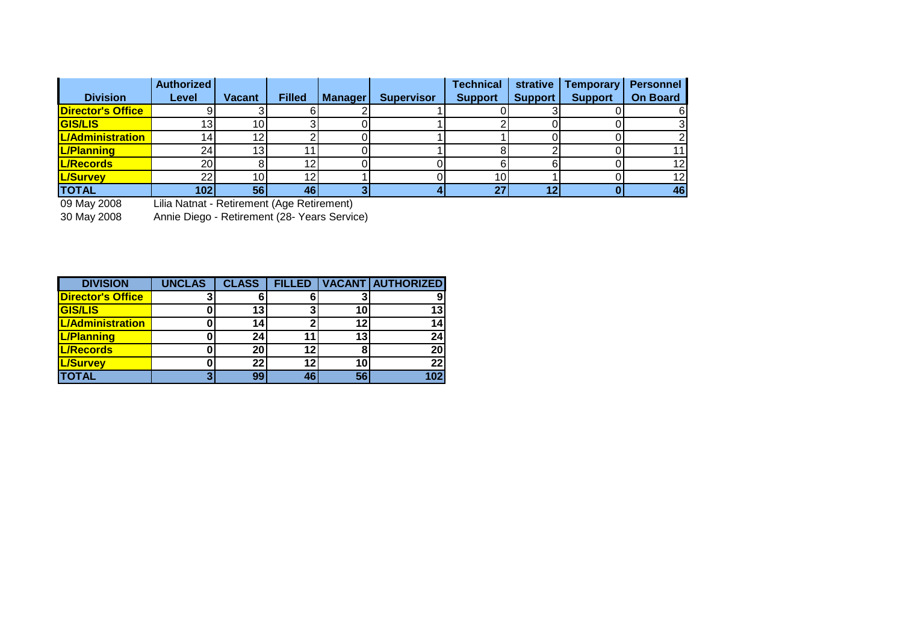|                          | <b>Authorized</b> |                 |               |                |                   | <b>Technical</b> | strative       | <b>Temporary</b> | <b>Personnel</b> |
|--------------------------|-------------------|-----------------|---------------|----------------|-------------------|------------------|----------------|------------------|------------------|
| <b>Division</b>          | Level             | <b>Vacant</b>   | <b>Filled</b> | <b>Manager</b> | <b>Supervisor</b> | <b>Support</b>   | <b>Support</b> | <b>Support</b>   | <b>On Board</b>  |
| <b>Director's Office</b> |                   |                 |               |                |                   |                  |                |                  |                  |
| <b>GIS/LIS</b>           | 13 <sub>1</sub>   | 10 <sup>1</sup> |               |                |                   |                  |                |                  |                  |
| <b>L/Administration</b>  | 14.               | 12              |               |                |                   |                  |                |                  |                  |
| <b>L/Planning</b>        | 24                | 13 <sub>l</sub> |               |                |                   |                  |                |                  | 11               |
| L/Records                | <b>20</b>         |                 | 12            |                |                   |                  |                |                  | 12               |
| <b>L/Survey</b>          | 22                | 10I             | 12            |                |                   | 10 <sup>1</sup>  |                |                  | 12               |
| <b>TOTAL</b>             | 102               | 56              | 46            |                |                   | 27               |                |                  | 46               |

09 May 2008 Lilia Natnat - Retirement (Age Retirement)

30 May 2008 Annie Diego - Retirement (28- Years Service)

| <b>DIVISION</b>          | <b>UNCLAS</b> | <b>CLASS</b> | <b>FILLED</b>   |    | <b>VACANT AUTHORIZED</b> |
|--------------------------|---------------|--------------|-----------------|----|--------------------------|
| <b>Director's Office</b> |               |              |                 |    |                          |
| <b>GIS/LIS</b>           |               | 13           |                 | 10 | 13'                      |
| <b>L/Administration</b>  |               | 14           |                 | 12 |                          |
| <b>L/Planning</b>        |               | 24           | 11              | 13 | 24                       |
| <b>L/Records</b>         |               | 20           | 12 <sub>1</sub> |    | 20                       |
| <b>L/Survey</b>          |               | 22           | 12              | 10 | 22                       |
| <b>TOTAL</b>             |               | 99           | 46              | 56 |                          |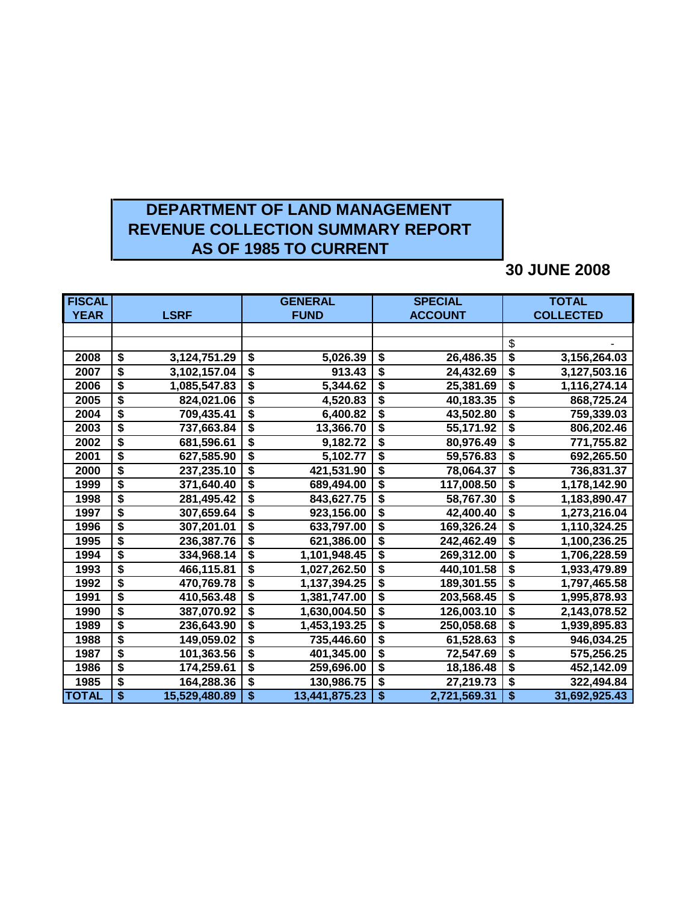# **DEPARTMENT OF LAND MANAGEMENT REVENUE COLLECTION SUMMARY REPORT AS OF 1985 TO CURRENT**

## **30 JUNE 2008**

| <b>FISCAL</b> |                                      |               | <b>GENERAL</b>                                       |                                        | <b>SPECIAL</b> | <b>TOTAL</b>                           |               |  |
|---------------|--------------------------------------|---------------|------------------------------------------------------|----------------------------------------|----------------|----------------------------------------|---------------|--|
| <b>YEAR</b>   |                                      | <b>LSRF</b>   | <b>FUND</b>                                          |                                        | <b>ACCOUNT</b> | <b>COLLECTED</b>                       |               |  |
|               |                                      |               |                                                      |                                        |                |                                        |               |  |
|               |                                      |               |                                                      |                                        |                | \$                                     |               |  |
| 2008          | \$                                   | 3,124,751.29  | \$<br>5,026.39                                       | \$                                     | 26,486.35      | $\overline{\boldsymbol{\theta}}$       | 3,156,264.03  |  |
| 2007          | $\overline{\boldsymbol{\mathsf{s}}}$ | 3,102,157.04  | \$<br>913.43                                         | $\overline{\boldsymbol{\mathfrak{s}}}$ | 24,432.69      | $\overline{\boldsymbol{\mathsf{s}}}$   | 3,127,503.16  |  |
| 2006          | \$                                   | 1,085,547.83  | \$<br>5,344.62                                       | $\overline{\boldsymbol{\mathsf{s}}}$   | 25,381.69      | $\overline{\$}$                        | 1,116,274.14  |  |
| 2005          | $\overline{\boldsymbol{\mathsf{s}}}$ | 824,021.06    | \$<br>4,520.83                                       | $\overline{\boldsymbol{\mathsf{s}}}$   | 40,183.35      | $\overline{\boldsymbol{\mathsf{s}}}$   | 868,725.24    |  |
| 2004          | \$                                   | 709,435.41    | \$<br>6,400.82                                       | \$                                     | 43,502.80      | \$                                     | 759,339.03    |  |
| 2003          | \$                                   | 737,663.84    | $\overline{\boldsymbol{\mathsf{s}}}$<br>13,366.70    | $\overline{\boldsymbol{\mathsf{s}}}$   | 55,171.92      | $\overline{\boldsymbol{\mathsf{s}}}$   | 806,202.46    |  |
| 2002          | \$                                   | 681,596.61    | \$<br>9,182.72                                       | \$                                     | 80,976.49      | \$                                     | 771,755.82    |  |
| 2001          | \$                                   | 627,585.90    | $\overline{\boldsymbol{\mathsf{s}}}$<br>5,102.77     | $\overline{\boldsymbol{\mathsf{s}}}$   | 59,576.83      | $\overline{\boldsymbol{\mathsf{s}}}$   | 692,265.50    |  |
| 2000          | \$                                   | 237,235.10    | \$<br>421,531.90                                     | $\overline{\boldsymbol{\mathsf{s}}}$   | 78,064.37      | $\overline{\boldsymbol{\mathsf{s}}}$   | 736,831.37    |  |
| 1999          | \$                                   | 371,640.40    | \$<br>689,494.00                                     | $\overline{\boldsymbol{\mathsf{s}}}$   | 117,008.50     | $\overline{\boldsymbol{\mathsf{s}}}$   | 1,178,142.90  |  |
| 1998          | $\overline{\boldsymbol{\mathsf{s}}}$ | 281,495.42    | \$<br>843,627.75                                     | $\overline{\boldsymbol{\mathsf{s}}}$   | 58,767.30      | $\overline{\boldsymbol{\mathsf{s}}}$   | 1,183,890.47  |  |
| 1997          | \$                                   | 307,659.64    | $\overline{\boldsymbol{\mathsf{s}}}$<br>923,156.00   | $\overline{\boldsymbol{\mathsf{s}}}$   | 42,400.40      | $\overline{\boldsymbol{\mathsf{s}}}$   | 1,273,216.04  |  |
| 1996          | \$                                   | 307,201.01    | $\overline{\boldsymbol{\mathfrak{s}}}$<br>633,797.00 | $\overline{\boldsymbol{\mathsf{s}}}$   | 169,326.24     | $\overline{\boldsymbol{\mathfrak{s}}}$ | 1,110,324.25  |  |
| 1995          | \$                                   | 236,387.76    | \$<br>621,386.00                                     | \$                                     | 242,462.49     | \$                                     | 1,100,236.25  |  |
| 1994          | \$                                   | 334,968.14    | \$<br>1,101,948.45                                   | $\overline{\boldsymbol{\mathfrak{s}}}$ | 269,312.00     | $\overline{\$}$                        | 1,706,228.59  |  |
| 1993          | \$                                   | 466,115.81    | $\overline{\boldsymbol{\mathsf{s}}}$<br>1,027,262.50 | \$                                     | 440,101.58     | $\overline{\boldsymbol{\mathsf{s}}}$   | 1,933,479.89  |  |
| 1992          | \$                                   | 470,769.78    | $\overline{\boldsymbol{\mathsf{s}}}$<br>1,137,394.25 | $\overline{\boldsymbol{\mathsf{s}}}$   | 189,301.55     | $\overline{\$}$                        | 1,797,465.58  |  |
| 1991          | \$                                   | 410,563.48    | \$<br>1,381,747.00                                   | \$                                     | 203,568.45     | $\overline{\boldsymbol{\mathsf{s}}}$   | 1,995,878.93  |  |
| 1990          | \$                                   | 387,070.92    | \$<br>1,630,004.50                                   | $\overline{\boldsymbol{\mathsf{s}}}$   | 126,003.10     | $\overline{\boldsymbol{\mathsf{s}}}$   | 2,143,078.52  |  |
| 1989          | \$                                   | 236,643.90    | \$<br>1,453,193.25                                   | $\overline{\boldsymbol{\mathsf{s}}}$   | 250,058.68     | \$                                     | 1,939,895.83  |  |
| 1988          | \$                                   | 149,059.02    | \$<br>735,446.60                                     | \$                                     | 61,528.63      | \$                                     | 946,034.25    |  |
| 1987          | \$                                   | 101,363.56    | $\overline{\boldsymbol{\mathsf{s}}}$<br>401,345.00   | $\overline{\boldsymbol{\mathsf{s}}}$   | 72,547.69      | $\overline{\boldsymbol{\mathsf{s}}}$   | 575,256.25    |  |
| 1986          | $\overline{\boldsymbol{\mathsf{s}}}$ | 174,259.61    | $\overline{\boldsymbol{\mathfrak{s}}}$<br>259,696.00 | $\overline{\boldsymbol{\mathsf{s}}}$   | 18,186.48      | $\overline{\boldsymbol{\mathsf{s}}}$   | 452,142.09    |  |
| 1985          | \$                                   | 164,288.36    | \$<br>130,986.75                                     | $\overline{\boldsymbol{\mathsf{s}}}$   | 27,219.73      | \$                                     | 322,494.84    |  |
| <b>TOTAL</b>  | \$                                   | 15,529,480.89 | \$<br>13,441,875.23                                  | \$                                     | 2,721,569.31   | \$                                     | 31,692,925.43 |  |